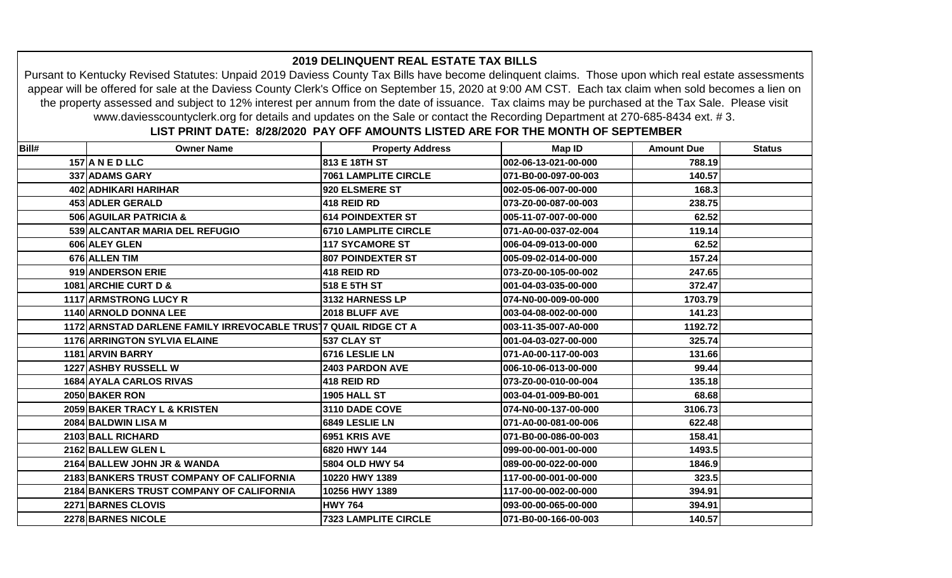|       | www.daviesscountyclerk.org for details and updates on the Sale or contact the Recording Department at 270-685-8434 ext. #3. |                                                                                  |                      |                   |               |
|-------|-----------------------------------------------------------------------------------------------------------------------------|----------------------------------------------------------------------------------|----------------------|-------------------|---------------|
|       |                                                                                                                             | LIST PRINT DATE: 8/28/2020 PAY OFF AMOUNTS LISTED ARE FOR THE MONTH OF SEPTEMBER |                      |                   |               |
| Bill# | <b>Owner Name</b>                                                                                                           | <b>Property Address</b>                                                          | Map ID               | <b>Amount Due</b> | <b>Status</b> |
|       | 157 A N E D LLC                                                                                                             | 813 E 18TH ST                                                                    | 002-06-13-021-00-000 | 788.19            |               |
|       | 337 ADAMS GARY                                                                                                              | <b>7061 LAMPLITE CIRCLE</b>                                                      | 071-B0-00-097-00-003 | 140.57            |               |
|       | 402 ADHIKARI HARIHAR                                                                                                        | 920 ELSMERE ST                                                                   | 002-05-06-007-00-000 | 168.3             |               |
|       | 453 ADLER GERALD                                                                                                            | 418 REID RD                                                                      | 073-Z0-00-087-00-003 | 238.75            |               |
|       | 506 AGUILAR PATRICIA &                                                                                                      | <b>614 POINDEXTER ST</b>                                                         | 005-11-07-007-00-000 | 62.52             |               |
|       | 539 ALCANTAR MARIA DEL REFUGIO                                                                                              | <b>6710 LAMPLITE CIRCLE</b>                                                      | 071-A0-00-037-02-004 | 119.14            |               |
|       | 606 ALEY GLEN                                                                                                               | <b>117 SYCAMORE ST</b>                                                           | 006-04-09-013-00-000 | 62.52             |               |
|       | 676 ALLEN TIM                                                                                                               | <b>807 POINDEXTER ST</b>                                                         | 005-09-02-014-00-000 | 157.24            |               |
|       | 919 ANDERSON ERIE                                                                                                           | 418 REID RD                                                                      | 073-Z0-00-105-00-002 | 247.65            |               |
|       | 1081 ARCHIE CURT D &                                                                                                        | 518 E 5TH ST                                                                     | 001-04-03-035-00-000 | 372.47            |               |
|       | <b>1117 ARMSTRONG LUCY R</b>                                                                                                | 3132 HARNESS LP                                                                  | 074-N0-00-009-00-000 | 1703.79           |               |
|       | 1140 ARNOLD DONNA LEE                                                                                                       | 2018 BLUFF AVE                                                                   | 003-04-08-002-00-000 | 141.23            |               |
|       | 1172 ARNSTAD DARLENE FAMILY IRREVOCABLE TRUS 7 QUAIL RIDGE CT A                                                             |                                                                                  | 003-11-35-007-A0-000 | 1192.72           |               |
|       | <b>1176 ARRINGTON SYLVIA ELAINE</b>                                                                                         | 537 CLAY ST                                                                      | 001-04-03-027-00-000 | 325.74            |               |
|       | 1181 ARVIN BARRY                                                                                                            | 6716 LESLIE LN                                                                   | 071-A0-00-117-00-003 | 131.66            |               |
|       | <b>1227 ASHBY RUSSELL W</b>                                                                                                 | <b>2403 PARDON AVE</b>                                                           | 006-10-06-013-00-000 | 99.44             |               |
|       | 1684 AYALA CARLOS RIVAS                                                                                                     | 418 REID RD                                                                      | 073-Z0-00-010-00-004 | 135.18            |               |
|       | 2050 BAKER RON                                                                                                              | <b>1905 HALL ST</b>                                                              | 003-04-01-009-B0-001 | 68.68             |               |
|       | 2059 BAKER TRACY L & KRISTEN                                                                                                | 3110 DADE COVE                                                                   | 074-N0-00-137-00-000 | 3106.73           |               |
|       | 2084 BALDWIN LISA M                                                                                                         | 6849 LESLIE LN                                                                   | 071-A0-00-081-00-006 | 622.48            |               |
|       | 2103 BALL RICHARD                                                                                                           | 6951 KRIS AVE                                                                    | 071-B0-00-086-00-003 | 158.41            |               |
|       | 2162 BALLEW GLEN L                                                                                                          | 6820 HWY 144                                                                     | 099-00-00-001-00-000 | 1493.5            |               |
|       | 2164 BALLEW JOHN JR & WANDA                                                                                                 | 5804 OLD HWY 54                                                                  | 089-00-00-022-00-000 | 1846.9            |               |
|       | 2183 BANKERS TRUST COMPANY OF CALIFORNIA                                                                                    | 10220 HWY 1389                                                                   | 117-00-00-001-00-000 | 323.5             |               |
|       | 2184 BANKERS TRUST COMPANY OF CALIFORNIA                                                                                    | 10256 HWY 1389                                                                   | 117-00-00-002-00-000 | 394.91            |               |
|       | 2271 BARNES CLOVIS                                                                                                          | <b>HWY 764</b>                                                                   | 093-00-00-065-00-000 | 394.91            |               |
|       | 2278 BARNES NICOLE                                                                                                          | <b>7323 LAMPLITE CIRCLE</b>                                                      | 071-B0-00-166-00-003 | 140.57            |               |

## **2019 DELINQUENT REAL ESTATE TAX BILLS**

Pursant to Kentucky Revised Statutes: Unpaid 2019 Daviess County Tax Bills have become delinquent claims. Those upon which real estate assessments appear will be offered for sale at the Daviess County Clerk's Office on September 15, 2020 at 9:00 AM CST. Each tax claim when sold becomes a lien on the property assessed and subject to 12% interest per annum from the date of issuance. Tax claims may be purchased at the Tax Sale. Please visit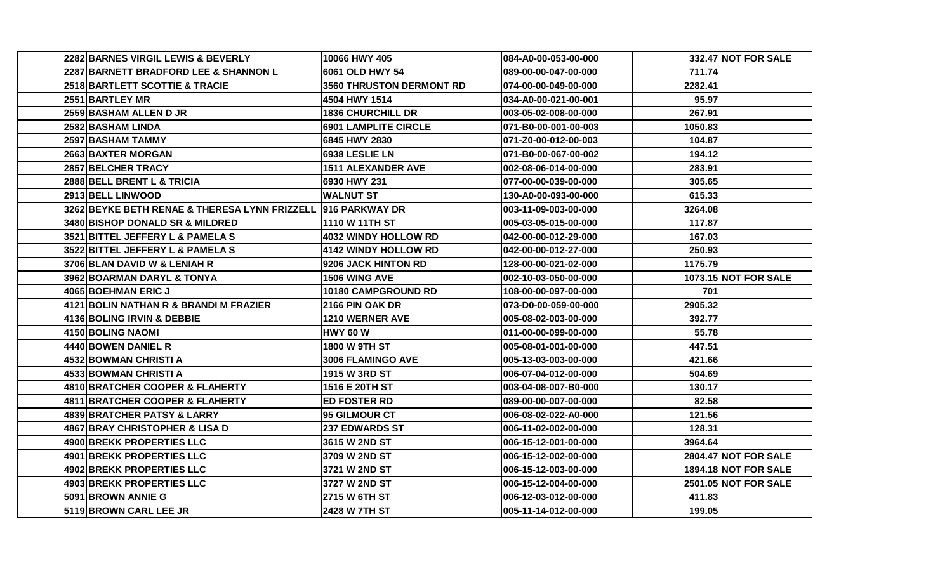| 2282 BARNES VIRGIL LEWIS & BEVERLY            | 10066 HWY 405               | 084-A0-00-053-00-000 |         | 332.47 NOT FOR SALE         |
|-----------------------------------------------|-----------------------------|----------------------|---------|-----------------------------|
| 2287 BARNETT BRADFORD LEE & SHANNON L         | 6061 OLD HWY 54             | 089-00-00-047-00-000 | 711.74  |                             |
| 2518 BARTLETT SCOTTIE & TRACIE                | 3560 THRUSTON DERMONT RD    | 074-00-00-049-00-000 | 2282.41 |                             |
| 2551 BARTLEY MR                               | 4504 HWY 1514               | 034-A0-00-021-00-001 | 95.97   |                             |
| 2559 BASHAM ALLEN D JR                        | <b>1836 CHURCHILL DR</b>    | 003-05-02-008-00-000 | 267.91  |                             |
| 2582 BASHAM LINDA                             | <b>6901 LAMPLITE CIRCLE</b> | 071-B0-00-001-00-003 | 1050.83 |                             |
| 2597 BASHAM TAMMY                             | 6845 HWY 2830               | 071-Z0-00-012-00-003 | 104.87  |                             |
| 2663 BAXTER MORGAN                            | 6938 LESLIE LN              | 071-B0-00-067-00-002 | 194.12  |                             |
| 2857 BELCHER TRACY                            | <b>1511 ALEXANDER AVE</b>   | 002-08-06-014-00-000 | 283.91  |                             |
| 2888 BELL BRENT L & TRICIA                    | 6930 HWY 231                | 077-00-00-039-00-000 | 305.65  |                             |
| 2913 BELL LINWOOD                             | <b>WALNUT ST</b>            | 130-A0-00-093-00-000 | 615.33  |                             |
| 3262 BEYKE BETH RENAE & THERESA LYNN FRIZZELL | 916 PARKWAY DR              | 003-11-09-003-00-000 | 3264.08 |                             |
| 3480 BISHOP DONALD SR & MILDRED               | 1110 W 11TH ST              | 005-03-05-015-00-000 | 117.87  |                             |
| 3521 BITTEL JEFFERY L & PAMELA S              | <b>4032 WINDY HOLLOW RD</b> | 042-00-00-012-29-000 | 167.03  |                             |
| 3522 BITTEL JEFFERY L & PAMELA S              | 4142 WINDY HOLLOW RD        | 042-00-00-012-27-000 | 250.93  |                             |
| 3706 BLAN DAVID W & LENIAH R                  | 9206 JACK HINTON RD         | 128-00-00-021-02-000 | 1175.79 |                             |
| 3962 BOARMAN DARYL & TONYA                    | 1506 WING AVE               | 002-10-03-050-00-000 |         | <b>1073.15 NOT FOR SALE</b> |
| 4065 BOEHMAN ERIC J                           | 10180 CAMPGROUND RD         | 108-00-00-097-00-000 | 701     |                             |
| 4121 BOLIN NATHAN R & BRANDI M FRAZIER        | 2166 PIN OAK DR             | 073-D0-00-059-00-000 | 2905.32 |                             |
| 4136 BOLING IRVIN & DEBBIE                    | 1210 WERNER AVE             | 005-08-02-003-00-000 | 392.77  |                             |
| 4150 BOLING NAOMI                             | <b>HWY 60 W</b>             | 011-00-00-099-00-000 | 55.78   |                             |
| 4440 BOWEN DANIEL R                           | <b>1800 W 9TH ST</b>        | 005-08-01-001-00-000 | 447.51  |                             |
| 4532 BOWMAN CHRISTI A                         | <b>3006 FLAMINGO AVE</b>    | 005-13-03-003-00-000 | 421.66  |                             |
| 4533 BOWMAN CHRISTI A                         | 1915 W 3RD ST               | 006-07-04-012-00-000 | 504.69  |                             |
| 4810 BRATCHER COOPER & FLAHERTY               | 1516 E 20TH ST              | 003-04-08-007-B0-000 | 130.17  |                             |
| 4811 BRATCHER COOPER & FLAHERTY               | <b>ED FOSTER RD</b>         | 089-00-00-007-00-000 | 82.58   |                             |
| 4839 BRATCHER PATSY & LARRY                   | 95 GILMOUR CT               | 006-08-02-022-A0-000 | 121.56  |                             |
| 4867 BRAY CHRISTOPHER & LISA D                | <b>237 EDWARDS ST</b>       | 006-11-02-002-00-000 | 128.31  |                             |
| <b>4900 BREKK PROPERTIES LLC</b>              | 3615 W 2ND ST               | 006-15-12-001-00-000 | 3964.64 |                             |
| 4901 BREKK PROPERTIES LLC                     | 3709 W 2ND ST               | 006-15-12-002-00-000 |         | <b>2804.47 NOT FOR SALE</b> |
| 4902 BREKK PROPERTIES LLC                     | 3721 W 2ND ST               | 006-15-12-003-00-000 |         | <b>1894.18 NOT FOR SALE</b> |
| 4903 BREKK PROPERTIES LLC                     | 3727 W 2ND ST               | 006-15-12-004-00-000 |         | <b>2501.05 NOT FOR SALE</b> |
| 5091 BROWN ANNIE G                            | 2715 W 6TH ST               | 006-12-03-012-00-000 | 411.83  |                             |
| 5119 BROWN CARL LEE JR                        | 2428 W 7TH ST               | 005-11-14-012-00-000 | 199.05  |                             |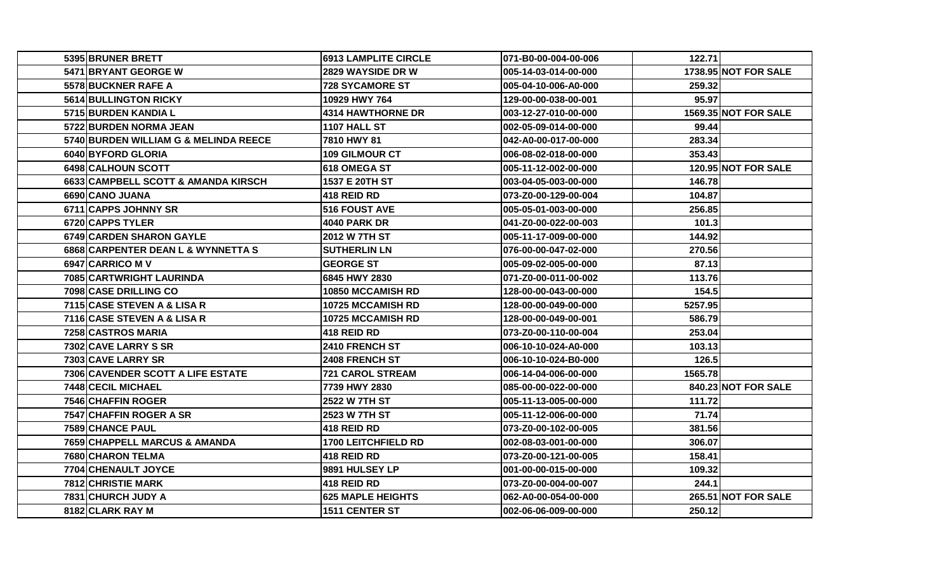| 5395 BRUNER BRETT                     | <b>6913 LAMPLITE CIRCLE</b> | 071-B0-00-004-00-006 | 122.71  |                             |
|---------------------------------------|-----------------------------|----------------------|---------|-----------------------------|
| 5471 BRYANT GEORGE W                  | <b>2829 WAYSIDE DR W</b>    | 005-14-03-014-00-000 |         | <b>1738.95 NOT FOR SALE</b> |
| 5578 BUCKNER RAFE A                   | <b>728 SYCAMORE ST</b>      | 005-04-10-006-A0-000 | 259.32  |                             |
| 5614 BULLINGTON RICKY                 | 10929 HWY 764               | 129-00-00-038-00-001 | 95.97   |                             |
| 5715 BURDEN KANDIA L                  | <b>4314 HAWTHORNE DR</b>    | 003-12-27-010-00-000 |         | <b>1569.35 NOT FOR SALE</b> |
| 5722 BURDEN NORMA JEAN                | 1107 HALL ST                | 002-05-09-014-00-000 | 99.44   |                             |
| 5740 BURDEN WILLIAM G & MELINDA REECE | 7810 HWY 81                 | 042-A0-00-017-00-000 | 283.34  |                             |
| 6040 BYFORD GLORIA                    | <b>109 GILMOUR CT</b>       | 006-08-02-018-00-000 | 353.43  |                             |
| <b>6498ICALHOUN SCOTT</b>             | <b>618 OMEGA ST</b>         | 005-11-12-002-00-000 |         | 120.95 NOT FOR SALE         |
| 6633 CAMPBELL SCOTT & AMANDA KIRSCH   | 1537 E 20TH ST              | 003-04-05-003-00-000 | 146.78  |                             |
| 6690 CANO JUANA                       | 418 REID RD                 | 073-Z0-00-129-00-004 | 104.87  |                             |
| 6711 CAPPS JOHNNY SR                  | 516 FOUST AVE               | 005-05-01-003-00-000 | 256.85  |                             |
| 6720 CAPPS TYLER                      | <b>4040 PARK DR</b>         | 041-Z0-00-022-00-003 | 101.3   |                             |
| 6749 CARDEN SHARON GAYLE              | 2012 W 7TH ST               | 005-11-17-009-00-000 | 144.92  |                             |
| 6868 CARPENTER DEAN L & WYNNETTA S    | <b>SUTHERLIN LN</b>         | 076-00-00-047-02-000 | 270.56  |                             |
| 6947 CARRICO M V                      | <b>GEORGE ST</b>            | 005-09-02-005-00-000 | 87.13   |                             |
| 7085 CARTWRIGHT LAURINDA              | 6845 HWY 2830               | 071-Z0-00-011-00-002 | 113.76  |                             |
| 7098 CASE DRILLING CO                 | <b>10850 MCCAMISH RD</b>    | 128-00-00-043-00-000 | 154.5   |                             |
| 7115 CASE STEVEN A & LISA R           | <b>10725 MCCAMISH RD</b>    | 128-00-00-049-00-000 | 5257.95 |                             |
| 7116 CASE STEVEN A & LISA R           | 10725 MCCAMISH RD           | 128-00-00-049-00-001 | 586.79  |                             |
| 7258 CASTROS MARIA                    | 418 REID RD                 | 073-Z0-00-110-00-004 | 253.04  |                             |
| 7302 CAVE LARRY S SR                  | 2410 FRENCH ST              | 006-10-10-024-A0-000 | 103.13  |                             |
| 7303 CAVE LARRY SR                    | <b>2408 FRENCH ST</b>       | 006-10-10-024-B0-000 | 126.5   |                             |
| 7306 CAVENDER SCOTT A LIFE ESTATE     | <b>721 CAROL STREAM</b>     | 006-14-04-006-00-000 | 1565.78 |                             |
| 7448 CECIL MICHAEL                    | 7739 HWY 2830               | 085-00-00-022-00-000 |         | 840.23 NOT FOR SALE         |
| 7546 CHAFFIN ROGER                    | 2522 W 7TH ST               | 005-11-13-005-00-000 | 111.72  |                             |
| 7547 CHAFFIN ROGER A SR               | 2523 W 7TH ST               | 005-11-12-006-00-000 | 71.74   |                             |
| 7589 CHANCE PAUL                      | 418 REID RD                 | 073-Z0-00-102-00-005 | 381.56  |                             |
| 7659 CHAPPELL MARCUS & AMANDA         | <b>1700 LEITCHFIELD RD</b>  | 002-08-03-001-00-000 | 306.07  |                             |
| <b>7680 CHARON TELMA</b>              | 418 REID RD                 | 073-Z0-00-121-00-005 | 158.41  |                             |
| 7704 CHENAULT JOYCE                   | 9891 HULSEY LP              | 001-00-00-015-00-000 | 109.32  |                             |
| 7812 CHRISTIE MARK                    | 418 REID RD                 | 073-Z0-00-004-00-007 | 244.1   |                             |
| 7831 CHURCH JUDY A                    | <b>625 MAPLE HEIGHTS</b>    | 062-A0-00-054-00-000 |         | <b>265.51 NOT FOR SALE</b>  |
| 8182 CLARK RAY M                      | <b>1511 CENTER ST</b>       | 002-06-06-009-00-000 | 250.12  |                             |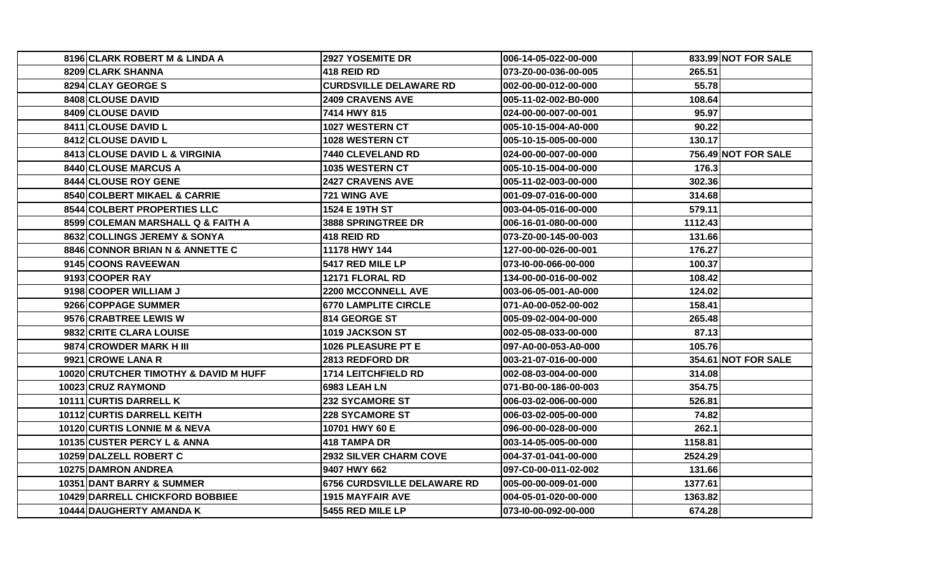| 8196 CLARK ROBERT M & LINDA A          | 2927 YOSEMITE DR              | 006-14-05-022-00-000 |         | 833.99 NOT FOR SALE |
|----------------------------------------|-------------------------------|----------------------|---------|---------------------|
| <b>8209 CLARK SHANNA</b>               | 418 REID RD                   | 073-Z0-00-036-00-005 | 265.51  |                     |
| 8294 CLAY GEORGE S                     | <b>CURDSVILLE DELAWARE RD</b> | 002-00-00-012-00-000 | 55.78   |                     |
| 8408 CLOUSE DAVID                      | <b>2409 CRAVENS AVE</b>       | 005-11-02-002-B0-000 | 108.64  |                     |
| 8409 CLOUSE DAVID                      | 7414 HWY 815                  | 024-00-00-007-00-001 | 95.97   |                     |
| 8411 CLOUSE DAVID L                    | 1027 WESTERN CT               | 005-10-15-004-A0-000 | 90.22   |                     |
| 8412 CLOUSE DAVID L                    | 1028 WESTERN CT               | 005-10-15-005-00-000 | 130.17  |                     |
| 8413 CLOUSE DAVID L & VIRGINIA         | 7440 CLEVELAND RD             | 024-00-00-007-00-000 |         | 756.49 NOT FOR SALE |
| 8440 CLOUSE MARCUS A                   | 1035 WESTERN CT               | 005-10-15-004-00-000 | 176.3   |                     |
| 8444 CLOUSE ROY GENE                   | <b>2427 CRAVENS AVE</b>       | 005-11-02-003-00-000 | 302.36  |                     |
| 8540 COLBERT MIKAEL & CARRIE           | 721 WING AVE                  | 001-09-07-016-00-000 | 314.68  |                     |
| 8544 COLBERT PROPERTIES LLC            | 1524 E 19TH ST                | 003-04-05-016-00-000 | 579.11  |                     |
| 8599 COLEMAN MARSHALL Q & FAITH A      | 3888 SPRINGTREE DR            | 006-16-01-080-00-000 | 1112.43 |                     |
| 8632 COLLINGS JEREMY & SONYA           | <b>418 REID RD</b>            | 073-Z0-00-145-00-003 | 131.66  |                     |
| 8846 CONNOR BRIAN N & ANNETTE C        | 11178 HWY 144                 | 127-00-00-026-00-001 | 176.27  |                     |
| 9145 COONS RAVEEWAN                    | 5417 RED MILE LP              | 073-I0-00-066-00-000 | 100.37  |                     |
| 9193 COOPER RAY                        | 12171 FLORAL RD               | 134-00-00-016-00-002 | 108.42  |                     |
| 9198 COOPER WILLIAM J                  | <b>2200 MCCONNELL AVE</b>     | 003-06-05-001-A0-000 | 124.02  |                     |
| 9266 COPPAGE SUMMER                    | <b>6770 LAMPLITE CIRCLE</b>   | 071-A0-00-052-00-002 | 158.41  |                     |
| 9576 CRABTREE LEWIS W                  | 814 GEORGE ST                 | 005-09-02-004-00-000 | 265.48  |                     |
| 9832 CRITE CLARA LOUISE                | 1019 JACKSON ST               | 002-05-08-033-00-000 | 87.13   |                     |
| 9874 CROWDER MARK H III                | 1026 PLEASURE PT E            | 097-A0-00-053-A0-000 | 105.76  |                     |
| 9921 CROWE LANA R                      | 2813 REDFORD DR               | 003-21-07-016-00-000 |         | 354.61 NOT FOR SALE |
| 10020 CRUTCHER TIMOTHY & DAVID M HUFF  | <b>1714 LEITCHFIELD RD</b>    | 002-08-03-004-00-000 | 314.08  |                     |
| 10023 CRUZ RAYMOND                     | 6983 LEAH LN                  | 071-B0-00-186-00-003 | 354.75  |                     |
| 10111 CURTIS DARRELL K                 | <b>232 SYCAMORE ST</b>        | 006-03-02-006-00-000 | 526.81  |                     |
| 10112 CURTIS DARRELL KEITH             | <b>228 SYCAMORE ST</b>        | 006-03-02-005-00-000 | 74.82   |                     |
| 10120 CURTIS LONNIE M & NEVA           | 10701 HWY 60 E                | 096-00-00-028-00-000 | 262.1   |                     |
| 10135 CUSTER PERCY L & ANNA            | 418 TAMPA DR                  | 003-14-05-005-00-000 | 1158.81 |                     |
| 10259 DALZELL ROBERT C                 | <b>2932 SILVER CHARM COVE</b> | 004-37-01-041-00-000 | 2524.29 |                     |
| <b>10275 DAMRON ANDREA</b>             | 9407 HWY 662                  | 097-C0-00-011-02-002 | 131.66  |                     |
| 10351 DANT BARRY & SUMMER              | 6756 CURDSVILLE DELAWARE RD   | 005-00-00-009-01-000 | 1377.61 |                     |
| <b>10429 DARRELL CHICKFORD BOBBIEE</b> | <b>1915 MAYFAIR AVE</b>       | 004-05-01-020-00-000 | 1363.82 |                     |
| 10444 DAUGHERTY AMANDA K               | 5455 RED MILE LP              | 073-10-00-092-00-000 | 674.28  |                     |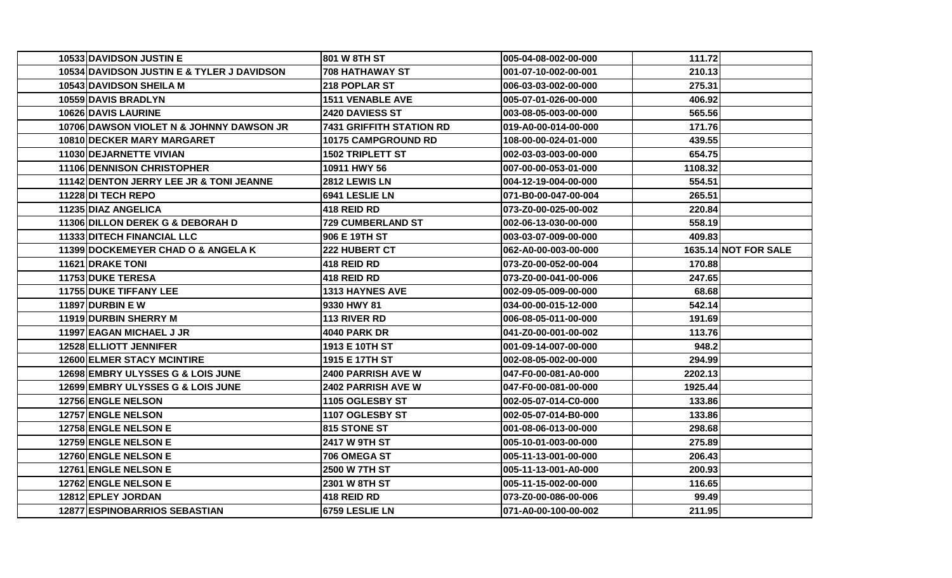| 10533 DAVIDSON JUSTIN E                    | 801 W 8TH ST                    | 005-04-08-002-00-000 | 111.721 |                             |
|--------------------------------------------|---------------------------------|----------------------|---------|-----------------------------|
| 10534 DAVIDSON JUSTIN E & TYLER J DAVIDSON | <b>708 HATHAWAY ST</b>          | 001-07-10-002-00-001 | 210.13  |                             |
| 10543 DAVIDSON SHEILA M                    | 218 POPLAR ST                   | 006-03-03-002-00-000 | 275.31  |                             |
| 10559 DAVIS BRADLYN                        | <b>1511 VENABLE AVE</b>         | 005-07-01-026-00-000 | 406.92  |                             |
| 10626 DAVIS LAURINE                        | 2420 DAVIESS ST                 | 003-08-05-003-00-000 | 565.56  |                             |
| 10706 DAWSON VIOLET N & JOHNNY DAWSON JR   | <b>7431 GRIFFITH STATION RD</b> | 019-A0-00-014-00-000 | 171.76  |                             |
| 10810 DECKER MARY MARGARET                 | <b>10175 CAMPGROUND RD</b>      | 108-00-00-024-01-000 | 439.55  |                             |
| 11030 DEJARNETTE VIVIAN                    | <b>1502 TRIPLETT ST</b>         | 002-03-03-003-00-000 | 654.75  |                             |
| <b>11106IDENNISON CHRISTOPHER</b>          | 10911 HWY 56                    | 007-00-00-053-01-000 | 1108.32 |                             |
| 11142 DENTON JERRY LEE JR & TONI JEANNE    | 2812 LEWIS LN                   | 004-12-19-004-00-000 | 554.51  |                             |
| <b>11228IDI TECH REPO</b>                  | 6941 LESLIE LN                  | 071-B0-00-047-00-004 | 265.51  |                             |
| 11235 DIAZ ANGELICA                        | 418 REID RD                     | 073-Z0-00-025-00-002 | 220.84  |                             |
| 11306 DILLON DEREK G & DEBORAH D           | 729 CUMBERLAND ST               | 002-06-13-030-00-000 | 558.19  |                             |
| 11333 DITECH FINANCIAL LLC                 | 906 E 19TH ST                   | 003-03-07-009-00-000 | 409.83  |                             |
| 11399 DOCKEMEYER CHAD O & ANGELA K         | 222 HUBERT CT                   | 062-A0-00-003-00-000 |         | <b>1635.14 NOT FOR SALE</b> |
| <b>11621 DRAKE TONI</b>                    | 418 REID RD                     | 073-Z0-00-052-00-004 | 170.88  |                             |
| <b>11753IDUKE TERESA</b>                   | 418 REID RD                     | 073-Z0-00-041-00-006 | 247.65  |                             |
| 11755 DUKE TIFFANY LEE                     | 1313 HAYNES AVE                 | 002-09-05-009-00-000 | 68.68   |                             |
| <b>11897 DURBIN E W</b>                    | 9330 HWY 81                     | 034-00-00-015-12-000 | 542.14  |                             |
| 11919 DURBIN SHERRY M                      | 113 RIVER RD                    | 006-08-05-011-00-000 | 191.69  |                             |
| 11997 EAGAN MICHAEL J JR                   | 4040 PARK DR                    | 041-Z0-00-001-00-002 | 113.76  |                             |
| 12528 ELLIOTT JENNIFER                     | 1913 E 10TH ST                  | 001-09-14-007-00-000 | 948.2   |                             |
| <b>12600 ELMER STACY MCINTIRE</b>          | 1915 E 17TH ST                  | 002-08-05-002-00-000 | 294.99  |                             |
| 12698 EMBRY ULYSSES G & LOIS JUNE          | <b>2400 PARRISH AVE W</b>       | 047-F0-00-081-A0-000 | 2202.13 |                             |
| 12699 EMBRY ULYSSES G & LOIS JUNE          | 2402 PARRISH AVE W              | 047-F0-00-081-00-000 | 1925.44 |                             |
| 12756 ENGLE NELSON                         | 1105 OGLESBY ST                 | 002-05-07-014-C0-000 | 133.86  |                             |
| <b>12757 ENGLE NELSON</b>                  | 1107 OGLESBY ST                 | 002-05-07-014-B0-000 | 133.86  |                             |
| 12758 ENGLE NELSON E                       | 815 STONE ST                    | 001-08-06-013-00-000 | 298.68  |                             |
| 12759 ENGLE NELSON E                       | 2417 W 9TH ST                   | 005-10-01-003-00-000 | 275.89  |                             |
| 12760 ENGLE NELSON E                       | 706 OMEGA ST                    | 005-11-13-001-00-000 | 206.43  |                             |
| 12761 ENGLE NELSON E                       | 2500 W 7TH ST                   | 005-11-13-001-A0-000 | 200.93  |                             |
| 12762 ENGLE NELSON E                       | 2301 W 8TH ST                   | 005-11-15-002-00-000 | 116.65  |                             |
| 12812 EPLEY JORDAN                         | 418 REID RD                     | 073-Z0-00-086-00-006 | 99.49   |                             |
| <b>12877 ESPINOBARRIOS SEBASTIAN</b>       | 6759 LESLIE LN                  | 071-A0-00-100-00-002 | 211.95  |                             |
|                                            |                                 |                      |         |                             |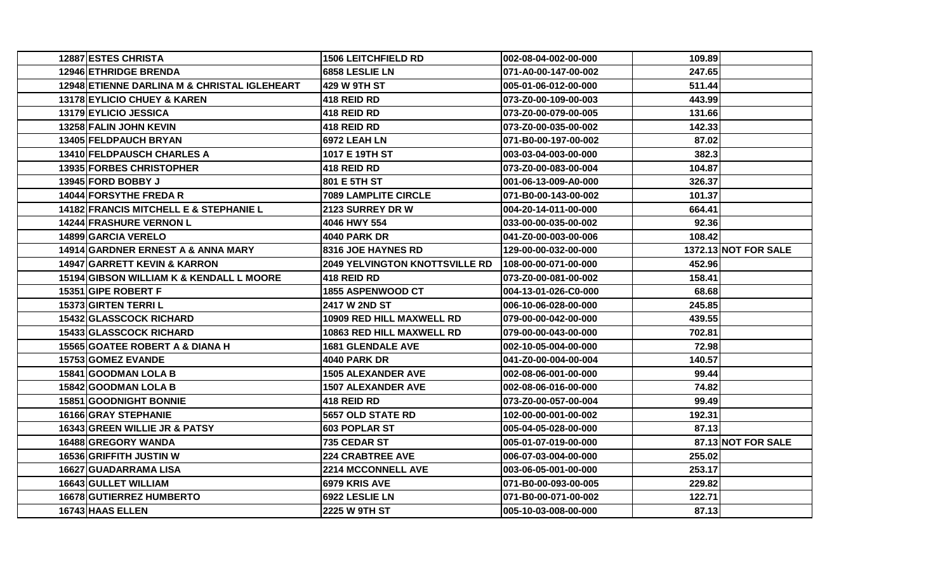| 12887 ESTES CHRISTA                          | <b>1506 LEITCHFIELD RD</b>            | 002-08-04-002-00-000 | 109.89 |                      |
|----------------------------------------------|---------------------------------------|----------------------|--------|----------------------|
| 12946 ETHRIDGE BRENDA                        | 6858 LESLIE LN                        | 071-A0-00-147-00-002 | 247.65 |                      |
| 12948 ETIENNE DARLINA M & CHRISTAL IGLEHEART | <b>429 W 9TH ST</b>                   | 005-01-06-012-00-000 | 511.44 |                      |
| 13178 EYLICIO CHUEY & KAREN                  | 418 REID RD                           | 073-Z0-00-109-00-003 | 443.99 |                      |
| 13179 EYLICIO JESSICA                        | 418 REID RD                           | 073-Z0-00-079-00-005 | 131.66 |                      |
| 13258 FALIN JOHN KEVIN                       | 418 REID RD                           | 073-Z0-00-035-00-002 | 142.33 |                      |
| 13405 FELDPAUCH BRYAN                        | <b>6972 LEAH LN</b>                   | 071-B0-00-197-00-002 | 87.02  |                      |
| 13410 FELDPAUSCH CHARLES A                   | 1017 E 19TH ST                        | 003-03-04-003-00-000 | 382.3  |                      |
| 13935 FORBES CHRISTOPHER                     | <b>418 REID RD</b>                    | 073-Z0-00-083-00-004 | 104.87 |                      |
| <b>13945 FORD BOBBY J</b>                    | 801 E 5TH ST                          | 001-06-13-009-A0-000 | 326.37 |                      |
| 14044 FORSYTHE FREDAR                        | <b>7089 LAMPLITE CIRCLE</b>           | 071-B0-00-143-00-002 | 101.37 |                      |
| 14182 FRANCIS MITCHELL E & STEPHANIE L       | <b>2123 SURREY DR W</b>               | 004-20-14-011-00-000 | 664.41 |                      |
| 14244 FRASHURE VERNON L                      | 4046 HWY 554                          | 033-00-00-035-00-002 | 92.36  |                      |
| 14899 GARCIA VERELO                          | 4040 PARK DR                          | 041-Z0-00-003-00-006 | 108.42 |                      |
| 14914 GARDNER ERNEST A & ANNA MARY           | 8316 JOE HAYNES RD                    | 129-00-00-032-00-000 |        | 1372.13 NOT FOR SALE |
| 14947 GARRETT KEVIN & KARRON                 | <b>2049 YELVINGTON KNOTTSVILLE RD</b> | 108-00-00-071-00-000 | 452.96 |                      |
| 15194 GIBSON WILLIAM K & KENDALL L MOORE     | 418 REID RD                           | 073-Z0-00-081-00-002 | 158.41 |                      |
| 15351 GIPE ROBERT F                          | 1855 ASPENWOOD CT                     | 004-13-01-026-C0-000 | 68.68  |                      |
| 15373 GIRTEN TERRIL                          | <b>2417 W 2ND ST</b>                  | 006-10-06-028-00-000 | 245.85 |                      |
| <b>15432 GLASSCOCK RICHARD</b>               | 10909 RED HILL MAXWELL RD             | 079-00-00-042-00-000 | 439.55 |                      |
| <b>15433 GLASSCOCK RICHARD</b>               | 10863 RED HILL MAXWELL RD             | 079-00-00-043-00-000 | 702.81 |                      |
| 15565 GOATEE ROBERT A & DIANA H              | <b>1681 GLENDALE AVE</b>              | 002-10-05-004-00-000 | 72.98  |                      |
| 15753 GOMEZ EVANDE                           | 4040 PARK DR                          | 041-Z0-00-004-00-004 | 140.57 |                      |
| 15841 GOODMAN LOLA B                         | <b>1505 ALEXANDER AVE</b>             | 002-08-06-001-00-000 | 99.44  |                      |
| 15842 GOODMAN LOLA B                         | <b>1507 ALEXANDER AVE</b>             | 002-08-06-016-00-000 | 74.82  |                      |
| 15851 GOODNIGHT BONNIE                       | 418 REID RD                           | 073-Z0-00-057-00-004 | 99.49  |                      |
| 16166 GRAY STEPHANIE                         | 5657 OLD STATE RD                     | 102-00-00-001-00-002 | 192.31 |                      |
| 16343 GREEN WILLIE JR & PATSY                | <b>603 POPLAR ST</b>                  | 005-04-05-028-00-000 | 87.13  |                      |
| 16488 GREGORY WANDA                          | 735 CEDAR ST                          | 005-01-07-019-00-000 |        | 87.13 NOT FOR SALE   |
| <b>16536 GRIFFITH JUSTIN W</b>               | <b>224 CRABTREE AVE</b>               | 006-07-03-004-00-000 | 255.02 |                      |
| 16627 GUADARRAMA LISA                        | <b>2214 MCCONNELL AVE</b>             | 003-06-05-001-00-000 | 253.17 |                      |
| 16643 GULLET WILLIAM                         | 6979 KRIS AVE                         | 071-B0-00-093-00-005 | 229.82 |                      |
| 16678 GUTIERREZ HUMBERTO                     | 6922 LESLIE LN                        | 071-B0-00-071-00-002 | 122.71 |                      |
| 16743 HAAS ELLEN                             | 2225 W 9TH ST                         | 005-10-03-008-00-000 | 87.13  |                      |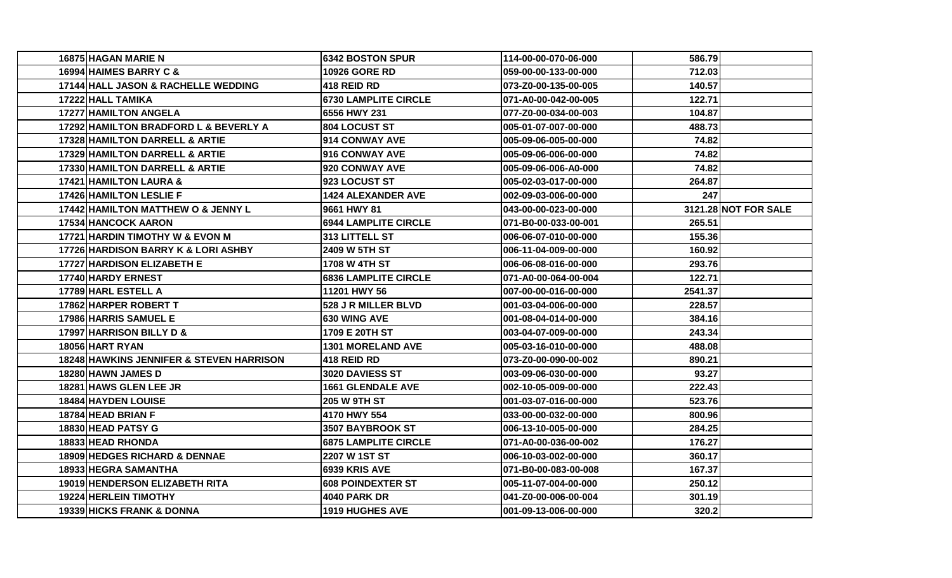| 16875 HAGAN MARIE N                           | <b>6342 BOSTON SPUR</b>     | 114-00-00-070-06-000 | 586.79  |                      |
|-----------------------------------------------|-----------------------------|----------------------|---------|----------------------|
| 16994 HAIMES BARRY C &                        | <b>10926 GORE RD</b>        | 059-00-00-133-00-000 | 712.03  |                      |
| 17144 HALL JASON & RACHELLE WEDDING           | <b>418 REID RD</b>          | 073-Z0-00-135-00-005 | 140.57  |                      |
| 17222 HALL TAMIKA                             | <b>6730 LAMPLITE CIRCLE</b> | 071-A0-00-042-00-005 | 122.71  |                      |
| <b>17277 HAMILTON ANGELA</b>                  | 6556 HWY 231                | 077-Z0-00-034-00-003 | 104.87  |                      |
| 17292 HAMILTON BRADFORD L & BEVERLY A         | <b>804 LOCUST ST</b>        | 005-01-07-007-00-000 | 488.73  |                      |
| <b>17328 HAMILTON DARRELL &amp; ARTIE</b>     | 914 CONWAY AVE              | 005-09-06-005-00-000 | 74.82   |                      |
| 17329 HAMILTON DARRELL & ARTIE                | 916 CONWAY AVE              | 005-09-06-006-00-000 | 74.82   |                      |
| <b>17330 HAMILTON DARRELL &amp; ARTIE</b>     | 920 CONWAY AVE              | 005-09-06-006-A0-000 | 74.82   |                      |
| 17421 HAMILTON LAURA &                        | 923 LOCUST ST               | 005-02-03-017-00-000 | 264.87  |                      |
| <b>17426 HAMILTON LESLIE F</b>                | <b>1424 ALEXANDER AVE</b>   | 002-09-03-006-00-000 | 247     |                      |
| <b>17442 HAMILTON MATTHEW O &amp; JENNY L</b> | 9661 HWY 81                 | 043-00-00-023-00-000 |         | 3121.28 NOT FOR SALE |
| <b>17534 HANCOCK AARON</b>                    | <b>6944 LAMPLITE CIRCLE</b> | 071-B0-00-033-00-001 | 265.51  |                      |
| 17721 HARDIN TIMOTHY W & EVON M               | 313 LITTELL ST              | 006-06-07-010-00-000 | 155.36  |                      |
| 17726 HARDISON BARRY K & LORI ASHBY           | <b>2409 W 5TH ST</b>        | 006-11-04-009-00-000 | 160.92  |                      |
| 17727 HARDISON ELIZABETH E                    | 1708 W 4TH ST               | 006-06-08-016-00-000 | 293.76  |                      |
| 17740 HARDY ERNEST                            | <b>6836 LAMPLITE CIRCLE</b> | 071-A0-00-064-00-004 | 122.71  |                      |
| 17789 HARL ESTELL A                           | 11201 HWY 56                | 007-00-00-016-00-000 | 2541.37 |                      |
| 17862 HARPER ROBERT T                         | <b>528 J R MILLER BLVD</b>  | 001-03-04-006-00-000 | 228.57  |                      |
| 17986 HARRIS SAMUEL E                         | <b>630 WING AVE</b>         | 001-08-04-014-00-000 | 384.16  |                      |
| <b>17997 HARRISON BILLY D &amp;</b>           | 1709 E 20TH ST              | 003-04-07-009-00-000 | 243.34  |                      |
| 18056 HART RYAN                               | <b>1301 MORELAND AVE</b>    | 005-03-16-010-00-000 | 488.08  |                      |
| 18248 HAWKINS JENNIFER & STEVEN HARRISON      | 418 REID RD                 | 073-Z0-00-090-00-002 | 890.21  |                      |
| <b>18280 HAWN JAMES D</b>                     | 3020 DAVIESS ST             | 003-09-06-030-00-000 | 93.27   |                      |
| <b>18281 HAWS GLEN LEE JR</b>                 | <b>1661 GLENDALE AVE</b>    | 002-10-05-009-00-000 | 222.43  |                      |
| <b>18484 HAYDEN LOUISE</b>                    | 205 W 9TH ST                | 001-03-07-016-00-000 | 523.76  |                      |
| 18784 HEAD BRIAN F                            | 4170 HWY 554                | 033-00-00-032-00-000 | 800.96  |                      |
| 18830 HEAD PATSY G                            | 3507 BAYBROOK ST            | 006-13-10-005-00-000 | 284.25  |                      |
| 18833 HEAD RHONDA                             | <b>6875 LAMPLITE CIRCLE</b> | 071-A0-00-036-00-002 | 176.27  |                      |
| 18909 HEDGES RICHARD & DENNAE                 | 2207 W 1ST ST               | 006-10-03-002-00-000 | 360.17  |                      |
| 18933 HEGRA SAMANTHA                          | 6939 KRIS AVE               | 071-B0-00-083-00-008 | 167.37  |                      |
| 19019 HENDERSON ELIZABETH RITA                | <b>608 POINDEXTER ST</b>    | 005-11-07-004-00-000 | 250.12  |                      |
| 19224 HERLEIN TIMOTHY                         | <b>4040 PARK DR</b>         | 041-Z0-00-006-00-004 | 301.19  |                      |
| <b>19339 HICKS FRANK &amp; DONNA</b>          | <b>1919 HUGHES AVE</b>      | 001-09-13-006-00-000 | 320.2   |                      |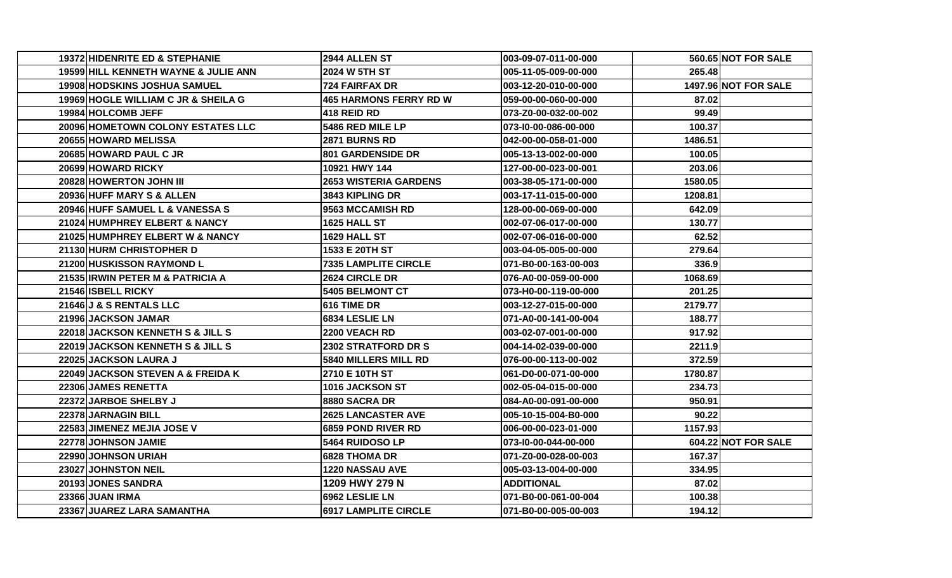| 19372 HIDENRITE ED & STEPHANIE       | 2944 ALLEN ST                 | 003-09-07-011-00-000 |         | 560.65 NOT FOR SALE         |
|--------------------------------------|-------------------------------|----------------------|---------|-----------------------------|
| 19599 HILL KENNETH WAYNE & JULIE ANN | 2024 W 5TH ST                 | 005-11-05-009-00-000 | 265.48  |                             |
| 19908 HODSKINS JOSHUA SAMUEL         | 724 FAIRFAX DR                | 003-12-20-010-00-000 |         | <b>1497.96 NOT FOR SALE</b> |
| 19969 HOGLE WILLIAM C JR & SHEILA G  | <b>465 HARMONS FERRY RD W</b> | 059-00-00-060-00-000 | 87.02   |                             |
| 19984 HOLCOMB JEFF                   | <b>418 REID RD</b>            | 073-Z0-00-032-00-002 | 99.49   |                             |
| 20096 HOMETOWN COLONY ESTATES LLC    | 5486 RED MILE LP              | 073-I0-00-086-00-000 | 100.37  |                             |
| 20655 HOWARD MELISSA                 | <b>2871 BURNS RD</b>          | 042-00-00-058-01-000 | 1486.51 |                             |
| 20685 HOWARD PAUL C JR               | <b>801 GARDENSIDE DR</b>      | 005-13-13-002-00-000 | 100.05  |                             |
| 20699 HOWARD RICKY                   | 10921 HWY 144                 | 127-00-00-023-00-001 | 203.06  |                             |
| 20828 HOWERTON JOHN III              | <b>2653 WISTERIA GARDENS</b>  | 003-38-05-171-00-000 | 1580.05 |                             |
| 20936 HUFF MARY S & ALLEN            | 3843 KIPLING DR               | 003-17-11-015-00-000 | 1208.81 |                             |
| 20946 HUFF SAMUEL L & VANESSA S      | 9563 MCCAMISH RD              | 128-00-00-069-00-000 | 642.09  |                             |
| 21024 HUMPHREY ELBERT & NANCY        | 1625 HALL ST                  | 002-07-06-017-00-000 | 130.77  |                             |
| 21025 HUMPHREY ELBERT W & NANCY      | 1629 HALL ST                  | 002-07-06-016-00-000 | 62.52   |                             |
| 21130 HURM CHRISTOPHER D             | 1533 E 20TH ST                | 003-04-05-005-00-000 | 279.64  |                             |
| 21200 HUSKISSON RAYMOND L            | <b>7335 LAMPLITE CIRCLE</b>   | 071-B0-00-163-00-003 | 336.9   |                             |
| 21535 IRWIN PETER M & PATRICIA A     | 2624 CIRCLE DR                | 076-A0-00-059-00-000 | 1068.69 |                             |
| 21546 ISBELL RICKY                   | 5405 BELMONT CT               | 073-H0-00-119-00-000 | 201.25  |                             |
| 21646 J & S RENTALS LLC              | 616 TIME DR                   | 003-12-27-015-00-000 | 2179.77 |                             |
| 21996 JACKSON JAMAR                  | 6834 LESLIE LN                | 071-A0-00-141-00-004 | 188.77  |                             |
| 22018 JACKSON KENNETH S & JILL S     | <b>2200 VEACH RD</b>          | 003-02-07-001-00-000 | 917.92  |                             |
| 22019 JACKSON KENNETH S & JILL S     | 2302 STRATFORD DR S           | 004-14-02-039-00-000 | 2211.9  |                             |
| 22025 JACKSON LAURA J                | 5840 MILLERS MILL RD          | 076-00-00-113-00-002 | 372.59  |                             |
| 22049 JACKSON STEVEN A & FREIDA K    | 2710 E 10TH ST                | 061-D0-00-071-00-000 | 1780.87 |                             |
| 22306 JAMES RENETTA                  | 1016 JACKSON ST               | 002-05-04-015-00-000 | 234.73  |                             |
| 22372 JARBOE SHELBY J                | 8880 SACRA DR                 | 084-A0-00-091-00-000 | 950.91  |                             |
| 22378 JARNAGIN BILL                  | <b>2625 LANCASTER AVE</b>     | 005-10-15-004-B0-000 | 90.22   |                             |
| 22583 JIMENEZ MEJIA JOSE V           | 6859 POND RIVER RD            | 006-00-00-023-01-000 | 1157.93 |                             |
| 22778 JOHNSON JAMIE                  | 5464 RUIDOSO LP               | 073-10-00-044-00-000 |         | 604.22 NOT FOR SALE         |
| 22990 JOHNSON URIAH                  | 6828 THOMA DR                 | 071-Z0-00-028-00-003 | 167.37  |                             |
| 23027 JOHNSTON NEIL                  | <b>1220 NASSAU AVE</b>        | 005-03-13-004-00-000 | 334.95  |                             |
| 20193 JONES SANDRA                   | 1209 HWY 279 N                | <b>ADDITIONAL</b>    | 87.02   |                             |
| 23366 JUAN IRMA                      | 6962 LESLIE LN                | 071-B0-00-061-00-004 | 100.38  |                             |
| 23367 JUAREZ LARA SAMANTHA           | <b>6917 LAMPLITE CIRCLE</b>   | 071-B0-00-005-00-003 | 194.12  |                             |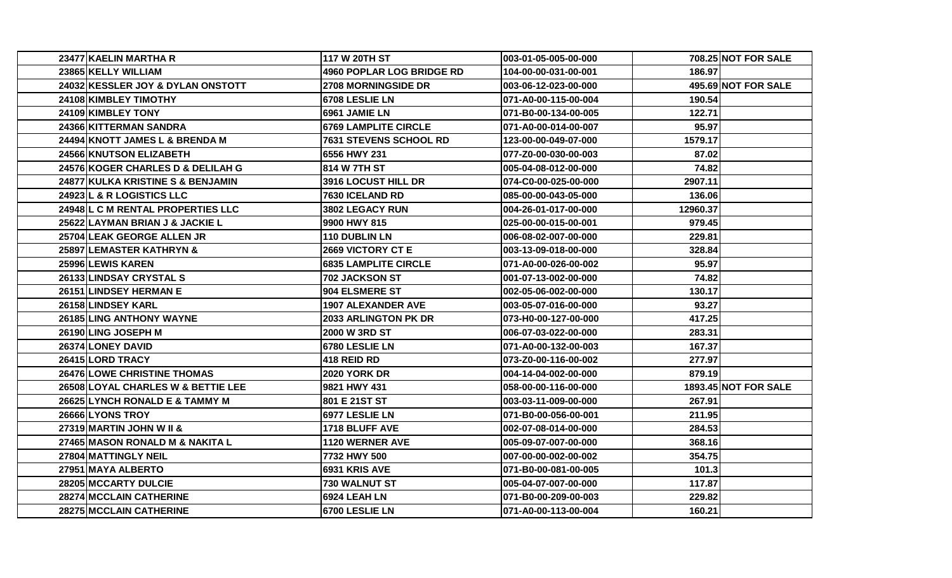| 23477 KAELIN MARTHA R                      | 117 W 20TH ST               | 003-01-05-005-00-000 |          | 708.25 NOT FOR SALE         |
|--------------------------------------------|-----------------------------|----------------------|----------|-----------------------------|
| 23865 KELLY WILLIAM                        | 4960 POPLAR LOG BRIDGE RD   | 104-00-00-031-00-001 | 186.97   |                             |
| 24032 KESSLER JOY & DYLAN ONSTOTT          | <b>2708 MORNINGSIDE DR</b>  | 003-06-12-023-00-000 |          | 495.69 NOT FOR SALE         |
| 24108 KIMBLEY TIMOTHY                      | 6708 LESLIE LN              | 071-A0-00-115-00-004 | 190.54   |                             |
| 24109 KIMBLEY TONY                         | 6961 JAMIE LN               | 071-B0-00-134-00-005 | 122.71   |                             |
| 24366 KITTERMAN SANDRA                     | <b>6769 LAMPLITE CIRCLE</b> | 071-A0-00-014-00-007 | 95.97    |                             |
| 24494 KNOTT JAMES L & BRENDA M             | 7631 STEVENS SCHOOL RD      | 123-00-00-049-07-000 | 1579.17  |                             |
| 24566 KNUTSON ELIZABETH                    | 6556 HWY 231                | 077-Z0-00-030-00-003 | 87.02    |                             |
| 24576 KOGER CHARLES D & DELILAH G          | 814 W 7TH ST                | 005-04-08-012-00-000 | 74.82    |                             |
| 24877 KULKA KRISTINE S & BENJAMIN          | 3916 LOCUST HILL DR         | 074-C0-00-025-00-000 | 2907.11  |                             |
| 24923 L & R LOGISTICS LLC                  | 7630 ICELAND RD             | 085-00-00-043-05-000 | 136.06   |                             |
| <b>24948IL C M RENTAL PROPERTIES LLC</b>   | 3802 LEGACY RUN             | 004-26-01-017-00-000 | 12960.37 |                             |
| 25622 LAYMAN BRIAN J & JACKIE L            | 9900 HWY 815                | 025-00-00-015-00-001 | 979.45   |                             |
| 25704 LEAK GEORGE ALLEN JR                 | <b>110 DUBLIN LN</b>        | 006-08-02-007-00-000 | 229.81   |                             |
| 25897 LEMASTER KATHRYN &                   | <b>2669 VICTORY CT E</b>    | 003-13-09-018-00-000 | 328.84   |                             |
| 25996 LEWIS KAREN                          | <b>6835 LAMPLITE CIRCLE</b> | 071-A0-00-026-00-002 | 95.97    |                             |
| 26133 LINDSAY CRYSTAL S                    | 702 JACKSON ST              | 001-07-13-002-00-000 | 74.82    |                             |
| 26151 LINDSEY HERMAN E                     | 904 ELSMERE ST              | 002-05-06-002-00-000 | 130.17   |                             |
| 26158 LINDSEY KARL                         | <b>1907 ALEXANDER AVE</b>   | 003-05-07-016-00-000 | 93.27    |                             |
| 26185 LING ANTHONY WAYNE                   | 2033 ARLINGTON PK DR        | 073-H0-00-127-00-000 | 417.25   |                             |
| 26190 LING JOSEPH M                        | 2000 W 3RD ST               | 006-07-03-022-00-000 | 283.31   |                             |
| 26374 LONEY DAVID                          | 6780 LESLIE LN              | 071-A0-00-132-00-003 | 167.37   |                             |
| 26415 LORD TRACY                           | 418 REID RD                 | 073-Z0-00-116-00-002 | 277.97   |                             |
| <b>26476 LOWE CHRISTINE THOMAS</b>         | <b>2020 YORK DR</b>         | 004-14-04-002-00-000 | 879.19   |                             |
| 26508 LOYAL CHARLES W & BETTIE LEE         | 9821 HWY 431                | 058-00-00-116-00-000 |          | <b>1893.45 NOT FOR SALE</b> |
| 26625 LYNCH RONALD E & TAMMY M             | 801 E 21ST ST               | 003-03-11-009-00-000 | 267.91   |                             |
| 26666 LYONS TROY                           | 6977 LESLIE LN              | 071-B0-00-056-00-001 | 211.95   |                             |
| 27319 MARTIN JOHN W II &                   | 1718 BLUFF AVE              | 002-07-08-014-00-000 | 284.53   |                             |
| <b>27465IMASON RONALD M &amp; NAKITA L</b> | <b>1120 WERNER AVE</b>      | 005-09-07-007-00-000 | 368.16   |                             |
| 27804 MATTINGLY NEIL                       | 7732 HWY 500                | 007-00-00-002-00-002 | 354.75   |                             |
| 27951 MAYA ALBERTO                         | 6931 KRIS AVE               | 071-B0-00-081-00-005 | 101.3    |                             |
| 28205 MCCARTY DULCIE                       | 730 WALNUT ST               | 005-04-07-007-00-000 | 117.87   |                             |
| 28274 MCCLAIN CATHERINE                    | <b>6924 LEAH LN</b>         | 071-B0-00-209-00-003 | 229.82   |                             |
| 28275 MCCLAIN CATHERINE                    | 6700 LESLIE LN              | 071-A0-00-113-00-004 | 160.21   |                             |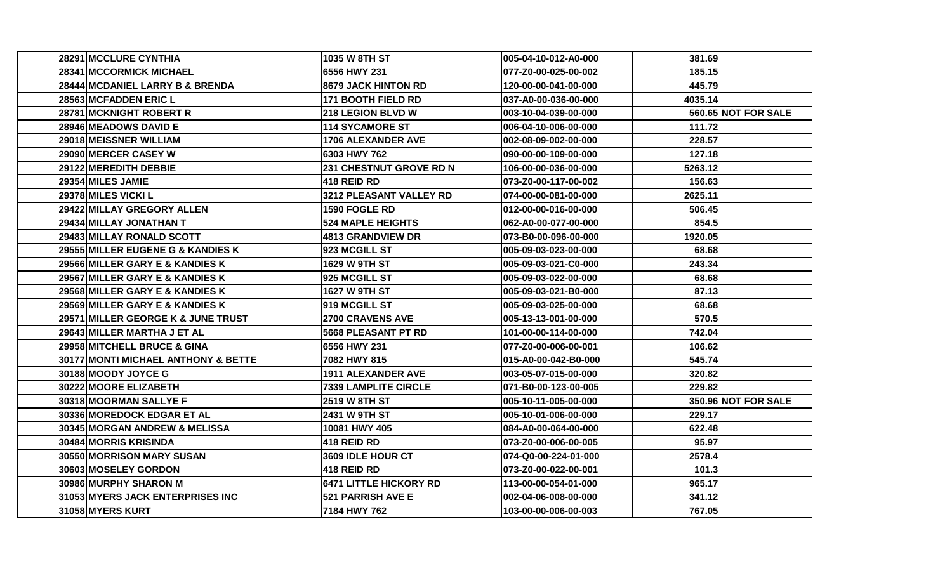| 28291 MCCLURE CYNTHIA                        | 1035 W 8TH ST                 | 005-04-10-012-A0-000 | 381.691 |                     |
|----------------------------------------------|-------------------------------|----------------------|---------|---------------------|
| 28341 MCCORMICK MICHAEL                      | 6556 HWY 231                  | 077-Z0-00-025-00-002 | 185.15  |                     |
| 28444 MCDANIEL LARRY B & BRENDA              | 8679 JACK HINTON RD           | 120-00-00-041-00-000 | 445.79  |                     |
| <b>28563IMCFADDEN ERIC L</b>                 | <b>171 BOOTH FIELD RD</b>     | 037-A0-00-036-00-000 | 4035.14 |                     |
| 28781 MCKNIGHT ROBERT R                      | <b>218 LEGION BLVD W</b>      | 003-10-04-039-00-000 |         | 560.65 NOT FOR SALE |
| 28946 MEADOWS DAVID E                        | <b>114 SYCAMORE ST</b>        | 006-04-10-006-00-000 | 111.72  |                     |
| 29018 MEISSNER WILLIAM                       | 1706 ALEXANDER AVE            | 002-08-09-002-00-000 | 228.57  |                     |
| 29090 MERCER CASEY W                         | 6303 HWY 762                  | 090-00-00-109-00-000 | 127.18  |                     |
| 29122 MEREDITH DEBBIE                        | 231 CHESTNUT GROVE RD N       | 106-00-00-036-00-000 | 5263.12 |                     |
| 29354 MILES JAMIE                            | <b>418 REID RD</b>            | 073-Z0-00-117-00-002 | 156.63  |                     |
| <b>29378 MILES VICKI L</b>                   | 3212 PLEASANT VALLEY RD       | 074-00-00-081-00-000 | 2625.11 |                     |
| 29422 MILLAY GREGORY ALLEN                   | 1590 FOGLE RD                 | 012-00-00-016-00-000 | 506.45  |                     |
| 29434 MILLAY JONATHAN T                      | <b>524 MAPLE HEIGHTS</b>      | 062-A0-00-077-00-000 | 854.5   |                     |
| 29483 MILLAY RONALD SCOTT                    | 4813 GRANDVIEW DR             | 073-B0-00-096-00-000 | 1920.05 |                     |
| <b>29555 MILLER EUGENE G &amp; KANDIES K</b> | 923 MCGILL ST                 | 005-09-03-023-00-000 | 68.68   |                     |
| 29566IMILLER GARY E & KANDIES K              | 1629 W 9TH ST                 | 005-09-03-021-C0-000 | 243.34  |                     |
| 29567 MILLER GARY E & KANDIES K              | <b>925 MCGILL ST</b>          | 005-09-03-022-00-000 | 68.68   |                     |
| 29568 MILLER GARY E & KANDIES K              | <b>1627 W 9TH ST</b>          | 005-09-03-021-B0-000 | 87.13   |                     |
| 29569 MILLER GARY E & KANDIES K              | 919 MCGILL ST                 | 005-09-03-025-00-000 | 68.68   |                     |
| 29571 MILLER GEORGE K & JUNE TRUST           | <b>2700 CRAVENS AVE</b>       | 005-13-13-001-00-000 | 570.5   |                     |
| 29643 MILLER MARTHA J ET AL                  | 5668 PLEASANT PT RD           | 101-00-00-114-00-000 | 742.04  |                     |
| 29958 MITCHELL BRUCE & GINA                  | 6556 HWY 231                  | 077-Z0-00-006-00-001 | 106.62  |                     |
| 30177 MONTI MICHAEL ANTHONY & BETTE          | 7082 HWY 815                  | 015-A0-00-042-B0-000 | 545.74  |                     |
| 30188 MOODY JOYCE G                          | <b>1911 ALEXANDER AVE</b>     | 003-05-07-015-00-000 | 320.82  |                     |
| 30222 MOORE ELIZABETH                        | <b>7339 LAMPLITE CIRCLE</b>   | 071-B0-00-123-00-005 | 229.82  |                     |
| <b>30318IMOORMAN SALLYE F</b>                | 2519 W 8TH ST                 | 005-10-11-005-00-000 |         | 350.96 NOT FOR SALE |
| 30336IMOREDOCK EDGAR ET AL                   | 2431 W 9TH ST                 | 005-10-01-006-00-000 | 229.17  |                     |
| 30345 MORGAN ANDREW & MELISSA                | 10081 HWY 405                 | 084-A0-00-064-00-000 | 622.48  |                     |
| 30484 MORRIS KRISINDA                        | 418 REID RD                   | 073-Z0-00-006-00-005 | 95.97   |                     |
| 30550 MORRISON MARY SUSAN                    | 3609 IDLE HOUR CT             | 074-Q0-00-224-01-000 | 2578.4  |                     |
| 30603 MOSELEY GORDON                         | 418 REID RD                   | 073-Z0-00-022-00-001 | 101.3   |                     |
| 30986 MURPHY SHARON M                        | <b>6471 LITTLE HICKORY RD</b> | 113-00-00-054-01-000 | 965.17  |                     |
| 31053 MYERS JACK ENTERPRISES INC             | 521 PARRISH AVE E             | 002-04-06-008-00-000 | 341.12  |                     |
| 31058 MYERS KURT                             | 7184 HWY 762                  | 103-00-00-006-00-003 | 767.05  |                     |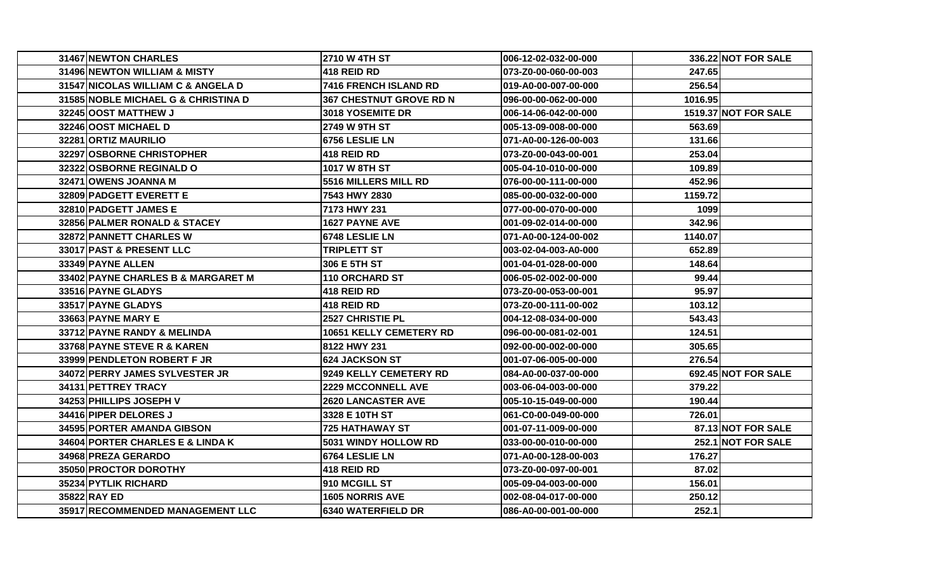| 31467 NEWTON CHARLES                | <b>2710 W 4TH ST</b>           | 006-12-02-032-00-000 |         | 336.22 NOT FOR SALE         |
|-------------------------------------|--------------------------------|----------------------|---------|-----------------------------|
| 31496 NEWTON WILLIAM & MISTY        | 418 REID RD                    | 073-Z0-00-060-00-003 | 247.65  |                             |
| 31547 NICOLAS WILLIAM C & ANGELA D  | 7416 FRENCH ISLAND RD          | 019-A0-00-007-00-000 | 256.54  |                             |
| 31585 NOBLE MICHAEL G & CHRISTINA D | <b>367 CHESTNUT GROVE RD N</b> | 096-00-00-062-00-000 | 1016.95 |                             |
| 32245 OOST MATTHEW J                | <b>3018 YOSEMITE DR</b>        | 006-14-06-042-00-000 |         | <b>1519.37 NOT FOR SALE</b> |
| 32246 OOST MICHAEL D                | 2749 W 9TH ST                  | 005-13-09-008-00-000 | 563.69  |                             |
| 32281 ORTIZ MAURILIO                | 6756 LESLIE LN                 | 071-A0-00-126-00-003 | 131.66  |                             |
| 32297 OSBORNE CHRISTOPHER           | 418 REID RD                    | 073-Z0-00-043-00-001 | 253.04  |                             |
| 32322 OSBORNE REGINALD O            | 1017 W 8TH ST                  | 005-04-10-010-00-000 | 109.89  |                             |
| 32471 OWENS JOANNA M                | 5516 MILLERS MILL RD           | 076-00-00-111-00-000 | 452.96  |                             |
| 32809 PADGETT EVERETT E             | 7543 HWY 2830                  | 085-00-00-032-00-000 | 1159.72 |                             |
| 32810 PADGETT JAMES E               | 7173 HWY 231                   | 077-00-00-070-00-000 | 1099    |                             |
| 32856 PALMER RONALD & STACEY        | <b>1627 PAYNE AVE</b>          | 001-09-02-014-00-000 | 342.96  |                             |
| 32872 PANNETT CHARLES W             | 6748 LESLIE LN                 | 071-A0-00-124-00-002 | 1140.07 |                             |
| 33017 PAST & PRESENT LLC            | <b>TRIPLETT ST</b>             | 003-02-04-003-A0-000 | 652.89  |                             |
| 33349 PAYNE ALLEN                   | 306 E 5TH ST                   | 001-04-01-028-00-000 | 148.64  |                             |
| 33402 PAYNE CHARLES B & MARGARET M  | <b>110 ORCHARD ST</b>          | 006-05-02-002-00-000 | 99.44   |                             |
| 33516 PAYNE GLADYS                  | 418 REID RD                    | 073-Z0-00-053-00-001 | 95.97   |                             |
| 33517 PAYNE GLADYS                  | <b>418 REID RD</b>             | 073-Z0-00-111-00-002 | 103.12  |                             |
| 33663 PAYNE MARY E                  | <b>2527 CHRISTIE PL</b>        | 004-12-08-034-00-000 | 543.43  |                             |
| 33712 PAYNE RANDY & MELINDA         | <b>10651 KELLY CEMETERY RD</b> | 096-00-00-081-02-001 | 124.51  |                             |
| 33768 PAYNE STEVE R & KAREN         | 8122 HWY 231                   | 092-00-00-002-00-000 | 305.65  |                             |
| 33999 PENDLETON ROBERT F JR         | <b>624 JACKSON ST</b>          | 001-07-06-005-00-000 | 276.54  |                             |
| 34072 PERRY JAMES SYLVESTER JR      | 9249 KELLY CEMETERY RD         | 084-A0-00-037-00-000 |         | 692.45 NOT FOR SALE         |
| 34131 PETTREY TRACY                 | <b>2229 MCCONNELL AVE</b>      | 003-06-04-003-00-000 | 379.22  |                             |
| 34253 PHILLIPS JOSEPH V             | <b>2620 LANCASTER AVE</b>      | 005-10-15-049-00-000 | 190.44  |                             |
| 34416 PIPER DELORES J               | 3328 E 10TH ST                 | 061-C0-00-049-00-000 | 726.01  |                             |
| 34595 PORTER AMANDA GIBSON          | <b>725 HATHAWAY ST</b>         | 001-07-11-009-00-000 |         | 87.13 NOT FOR SALE          |
| 34604 PORTER CHARLES E & LINDA K    | <b>5031 WINDY HOLLOW RD</b>    | 033-00-00-010-00-000 |         | 252.1 NOT FOR SALE          |
| 34968 PREZA GERARDO                 | 6764 LESLIE LN                 | 071-A0-00-128-00-003 | 176.27  |                             |
| <b>35050 PROCTOR DOROTHY</b>        | 418 REID RD                    | 073-Z0-00-097-00-001 | 87.02   |                             |
| 35234 PYTLIK RICHARD                | 910 MCGILL ST                  | 005-09-04-003-00-000 | 156.01  |                             |
| 35822 RAY ED                        | <b>1605 NORRIS AVE</b>         | 002-08-04-017-00-000 | 250.12  |                             |
| 35917 RECOMMENDED MANAGEMENT LLC    | <b>6340 WATERFIELD DR</b>      | 086-A0-00-001-00-000 | 252.1   |                             |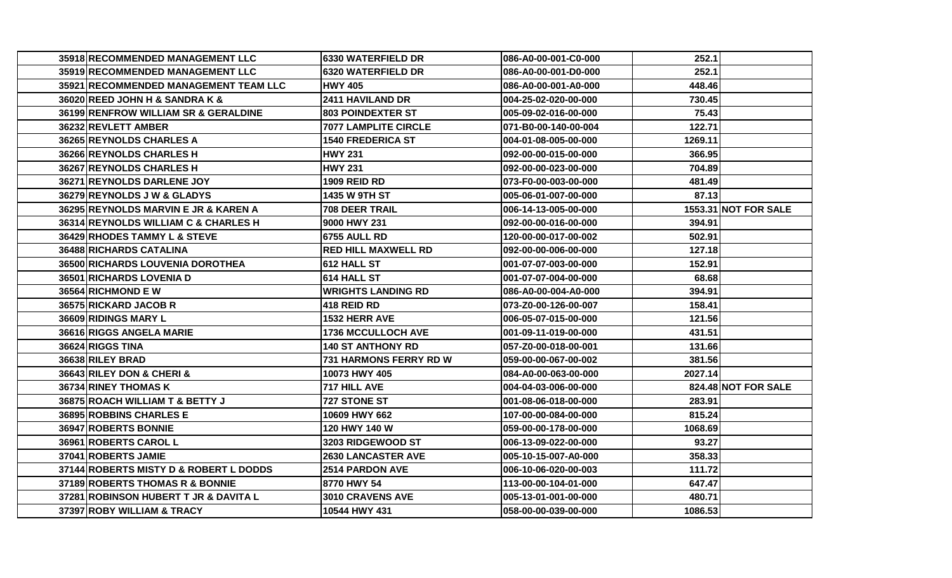| 35918 RECOMMENDED MANAGEMENT LLC       | <b>6330 WATERFIELD DR</b>   | l086-A0-00-001-C0-000 | 252.1   |                             |
|----------------------------------------|-----------------------------|-----------------------|---------|-----------------------------|
| 35919 RECOMMENDED MANAGEMENT LLC       | <b>6320 WATERFIELD DR</b>   | 086-A0-00-001-D0-000  | 252.1   |                             |
| 35921 RECOMMENDED MANAGEMENT TEAM LLC  | <b>HWY 405</b>              | 086-A0-00-001-A0-000  | 448.46  |                             |
| 36020 REED JOHN H & SANDRA K &         | 2411 HAVILAND DR            | 1004-25-02-020-00-000 | 730.45  |                             |
| 36199 RENFROW WILLIAM SR & GERALDINE   | <b>803 POINDEXTER ST</b>    | 005-09-02-016-00-000  | 75.43   |                             |
| 36232 REVLETT AMBER                    | <b>7077 LAMPLITE CIRCLE</b> | l071-B0-00-140-00-004 | 122.71  |                             |
| 36265 REYNOLDS CHARLES A               | <b>1540 FREDERICA ST</b>    | 004-01-08-005-00-000  | 1269.11 |                             |
| 36266 REYNOLDS CHARLES H               | <b>HWY 231</b>              | 092-00-00-015-00-000  | 366.95  |                             |
| 36267 REYNOLDS CHARLES H               | <b>HWY 231</b>              | 092-00-00-023-00-000  | 704.89  |                             |
| 36271 REYNOLDS DARLENE JOY             | <b>1909 REID RD</b>         | l073-F0-00-003-00-000 | 481.49  |                             |
| <b>36279 REYNOLDS J W &amp; GLADYS</b> | <b>1435 W 9TH ST</b>        | l005-06-01-007-00-000 | 87.13   |                             |
| 36295 REYNOLDS MARVIN E JR & KAREN A   | 708 DEER TRAIL              | 1006-14-13-005-00-000 |         | <b>1553.31 NOT FOR SALE</b> |
| 36314 REYNOLDS WILLIAM C & CHARLES H   | 9000 HWY 231                | 092-00-00-016-00-000  | 394.91  |                             |
| 36429 RHODES TAMMY L & STEVE           | 16755 AULL RD               | 120-00-00-017-00-002  | 502.91  |                             |
| 36488 RICHARDS CATALINA                | <b>RED HILL MAXWELL RD</b>  | 092-00-00-006-00-000  | 127.18  |                             |
| 36500 RICHARDS LOUVENIA DOROTHEA       | 612 HALL ST                 | 001-07-07-003-00-000  | 152.91  |                             |
| 36501 RICHARDS LOVENIA D               | 614 HALL ST                 | 001-07-07-004-00-000  | 68.68   |                             |
| 36564 RICHMOND E W                     | <b>WRIGHTS LANDING RD</b>   | l086-A0-00-004-A0-000 | 394.91  |                             |
| 36575 RICKARD JACOB R                  | <b>418 REID RD</b>          | 073-Z0-00-126-00-007  | 158.41  |                             |
| 36609 RIDINGS MARY L                   | 1532 HERR AVE               | 1006-05-07-015-00-000 | 121.56  |                             |
| 36616 RIGGS ANGELA MARIE               | <b>1736 MCCULLOCH AVE</b>   | l001-09-11-019-00-000 | 431.51  |                             |
| 36624 RIGGS TINA                       | <b>140 ST ANTHONY RD</b>    | 057-Z0-00-018-00-001  | 131.66  |                             |
| 36638 RILEY BRAD                       | 731 HARMONS FERRY RD W      | 059-00-00-067-00-002  | 381.56  |                             |
| 36643 RILEY DON & CHERI &              | 10073 HWY 405               | l084-A0-00-063-00-000 | 2027.14 |                             |
| 36734 RINEY THOMAS K                   | 717 HILL AVE                | 004-04-03-006-00-000  |         | 824.48 NOT FOR SALE         |
| 36875 ROACH WILLIAM T & BETTY J        | <b>727 STONE ST</b>         | 001-08-06-018-00-000  | 283.91  |                             |
| 36895 ROBBINS CHARLES E                | 10609 HWY 662               | 107-00-00-084-00-000  | 815.24  |                             |
| 36947 ROBERTS BONNIE                   | 120 HWY 140 W               | 059-00-00-178-00-000  | 1068.69 |                             |
| 36961 ROBERTS CAROL L                  | <b>3203 RIDGEWOOD ST</b>    | 006-13-09-022-00-000  | 93.27   |                             |
| 37041 ROBERTS JAMIE                    | <b>2630 LANCASTER AVE</b>   | l005-10-15-007-A0-000 | 358.33  |                             |
| 37144 ROBERTS MISTY D & ROBERT L DODDS | 2514 PARDON AVE             | 006-10-06-020-00-003  | 111.72  |                             |
| 37189 ROBERTS THOMAS R & BONNIE        | 8770 HWY 54                 | 113-00-00-104-01-000  | 647.47  |                             |
| 37281 ROBINSON HUBERT T JR & DAVITA L  | 3010 CRAVENS AVE            | 005-13-01-001-00-000  | 480.71  |                             |
| 37397 ROBY WILLIAM & TRACY             | 10544 HWY 431               | 1058-00-00-039-00-000 | 1086.53 |                             |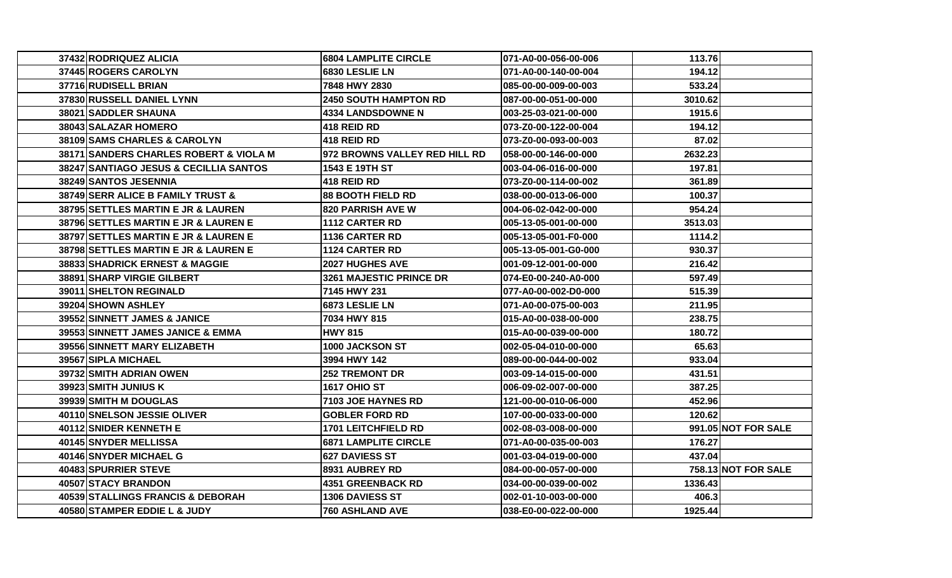| 37432 RODRIQUEZ ALICIA                        | <b>6804 LAMPLITE CIRCLE</b>   | 071-A0-00-056-00-006 | 113.76  |                     |
|-----------------------------------------------|-------------------------------|----------------------|---------|---------------------|
| <b>37445 ROGERS CAROLYN</b>                   | 6830 LESLIE LN                | 071-A0-00-140-00-004 | 194.12  |                     |
| 37716 RUDISELL BRIAN                          | 7848 HWY 2830                 | 085-00-00-009-00-003 | 533.24  |                     |
| 37830 RUSSELL DANIEL LYNN                     | <b>2450 SOUTH HAMPTON RD</b>  | 087-00-00-051-00-000 | 3010.62 |                     |
| 38021 SADDLER SHAUNA                          | <b>4334 LANDSDOWNE N</b>      | 003-25-03-021-00-000 | 1915.6  |                     |
| 38043 SALAZAR HOMERO                          | 418 REID RD                   | 073-Z0-00-122-00-004 | 194.12  |                     |
| 38109 SAMS CHARLES & CAROLYN                  | <b>418 REID RD</b>            | 073-Z0-00-093-00-003 | 87.02   |                     |
| 38171 SANDERS CHARLES ROBERT & VIOLA M        | 972 BROWNS VALLEY RED HILL RD | 058-00-00-146-00-000 | 2632.23 |                     |
| 38247 SANTIAGO JESUS & CECILLIA SANTOS        | 1543 E 19TH ST                | 003-04-06-016-00-000 | 197.81  |                     |
| 38249 SANTOS JESENNIA                         | 418 REID RD                   | 073-Z0-00-114-00-002 | 361.89  |                     |
| 38749 SERR ALICE B FAMILY TRUST &             | <b>88 BOOTH FIELD RD</b>      | 038-00-00-013-06-000 | 100.37  |                     |
| <b>38795 SETTLES MARTIN E JR &amp; LAUREN</b> | <b>820 PARRISH AVE W</b>      | 004-06-02-042-00-000 | 954.24  |                     |
| 38796 SETTLES MARTIN E JR & LAUREN E          | 1112 CARTER RD                | 005-13-05-001-00-000 | 3513.03 |                     |
| 38797 SETTLES MARTIN E JR & LAUREN E          | <b>1136 CARTER RD</b>         | 005-13-05-001-F0-000 | 1114.2  |                     |
| 38798 SETTLES MARTIN E JR & LAUREN E          | 1124 CARTER RD                | 005-13-05-001-G0-000 | 930.37  |                     |
| 38833 SHADRICK ERNEST & MAGGIE                | 2027 HUGHES AVE               | 001-09-12-001-00-000 | 216.42  |                     |
| 38891 SHARP VIRGIE GILBERT                    | 3261 MAJESTIC PRINCE DR       | 074-E0-00-240-A0-000 | 597.49  |                     |
| 39011 SHELTON REGINALD                        | 7145 HWY 231                  | 077-A0-00-002-D0-000 | 515.39  |                     |
| 39204 SHOWN ASHLEY                            | 6873 LESLIE LN                | 071-A0-00-075-00-003 | 211.95  |                     |
| 39552 SINNETT JAMES & JANICE                  | 7034 HWY 815                  | 015-A0-00-038-00-000 | 238.75  |                     |
| 39553 SINNETT JAMES JANICE & EMMA             | <b>HWY 815</b>                | 015-A0-00-039-00-000 | 180.72  |                     |
| 39556 SINNETT MARY ELIZABETH                  | 1000 JACKSON ST               | 002-05-04-010-00-000 | 65.63   |                     |
| 39567 SIPLA MICHAEL                           | 3994 HWY 142                  | 089-00-00-044-00-002 | 933.04  |                     |
| 39732 SMITH ADRIAN OWEN                       | <b>252 TREMONT DR</b>         | 003-09-14-015-00-000 | 431.51  |                     |
| 39923 SMITH JUNIUS K                          | <b>1617 OHIO ST</b>           | 006-09-02-007-00-000 | 387.25  |                     |
| 39939 SMITH M DOUGLAS                         | 7103 JOE HAYNES RD            | 121-00-00-010-06-000 | 452.96  |                     |
| 40110 SNELSON JESSIE OLIVER                   | <b>GOBLER FORD RD</b>         | 107-00-00-033-00-000 | 120.62  |                     |
| 40112 SNIDER KENNETH E                        | <b>1701 LEITCHFIELD RD</b>    | 002-08-03-008-00-000 |         | 991.05 NOT FOR SALE |
| 40145 SNYDER MELLISSA                         | <b>6871 LAMPLITE CIRCLE</b>   | 071-A0-00-035-00-003 | 176.27  |                     |
| 40146 SNYDER MICHAEL G                        | <b>627 DAVIESS ST</b>         | 001-03-04-019-00-000 | 437.04  |                     |
| 40483 SPURRIER STEVE                          | 8931 AUBREY RD                | 084-00-00-057-00-000 |         | 758.13 NOT FOR SALE |
| 40507 STACY BRANDON                           | <b>4351 GREENBACK RD</b>      | 034-00-00-039-00-002 | 1336.43 |                     |
| 40539 STALLINGS FRANCIS & DEBORAH             | <b>1306 DAVIESS ST</b>        | 002-01-10-003-00-000 | 406.3   |                     |
| 40580 STAMPER EDDIE L & JUDY                  | <b>760 ASHLAND AVE</b>        | 038-E0-00-022-00-000 | 1925.44 |                     |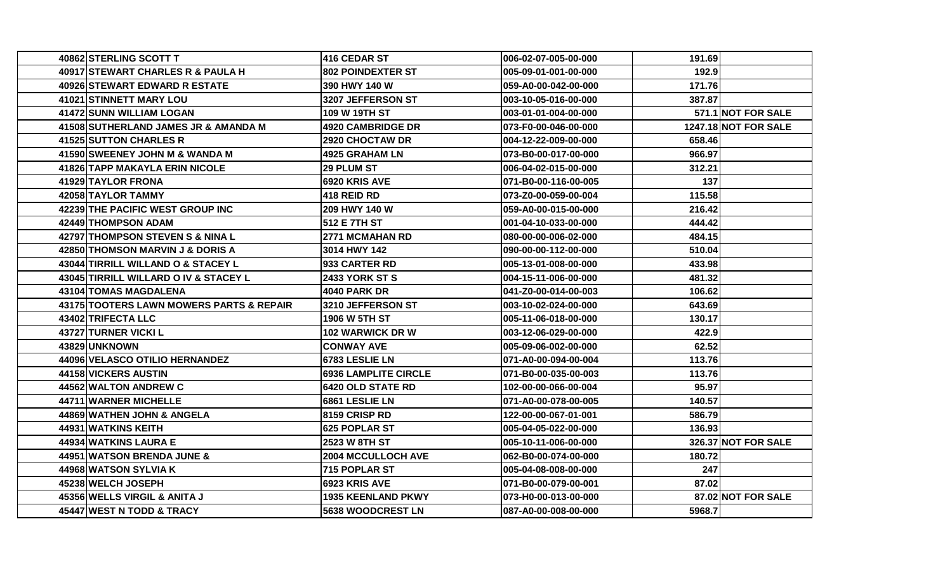| 40862 STERLING SCOTT T                   | 416 CEDAR ST                | 006-02-07-005-00-000 | 191.69 |                      |
|------------------------------------------|-----------------------------|----------------------|--------|----------------------|
| 40917 STEWART CHARLES R & PAULA H        | <b>802 POINDEXTER ST</b>    | 005-09-01-001-00-000 | 192.9  |                      |
| <b>40926 STEWART EDWARD R ESTATE</b>     | 390 HWY 140 W               | 059-A0-00-042-00-000 | 171.76 |                      |
| 41021 STINNETT MARY LOU                  | 3207 JEFFERSON ST           | 003-10-05-016-00-000 | 387.87 |                      |
| 41472 SUNN WILLIAM LOGAN                 | 109 W 19TH ST               | 003-01-01-004-00-000 |        | 571.1 NOT FOR SALE   |
| 41508 SUTHERLAND JAMES JR & AMANDA M     | <b>4920 CAMBRIDGE DR</b>    | 073-F0-00-046-00-000 |        | 1247.18 NOT FOR SALE |
| <b>41525 SUTTON CHARLES R</b>            | 2920 CHOCTAW DR             | 004-12-22-009-00-000 | 658.46 |                      |
| 41590 SWEENEY JOHN M & WANDA M           | 4925 GRAHAM LN              | 073-B0-00-017-00-000 | 966.97 |                      |
| <b>41826 TAPP MAKAYLA ERIN NICOLE</b>    | 29 PLUM ST                  | 006-04-02-015-00-000 | 312.21 |                      |
| <b>41929 TAYLOR FRONA</b>                | 6920 KRIS AVE               | 071-B0-00-116-00-005 | 137    |                      |
| 42058 TAYLOR TAMMY                       | 418 REID RD                 | 073-Z0-00-059-00-004 | 115.58 |                      |
| 42239 THE PACIFIC WEST GROUP INC         | 209 HWY 140 W               | 059-A0-00-015-00-000 | 216.42 |                      |
| 424491THOMPSON ADAM                      | 512 E 7TH ST                | 001-04-10-033-00-000 | 444.42 |                      |
| 42797 THOMPSON STEVEN S & NINA L         | <b>2771 MCMAHAN RD</b>      | 080-00-00-006-02-000 | 484.15 |                      |
| 42850 THOMSON MARVIN J & DORIS A         | 3014 HWY 142                | 090-00-00-112-00-000 | 510.04 |                      |
| 43044 TIRRILL WILLAND O & STACEY L       | 933 CARTER RD               | 005-13-01-008-00-000 | 433.98 |                      |
| 43045 TIRRILL WILLARD O IV & STACEY L    | <b>2433 YORK ST S</b>       | 004-15-11-006-00-000 | 481.32 |                      |
| 43104 TOMAS MAGDALENA                    | <b>4040 PARK DR</b>         | 041-Z0-00-014-00-003 | 106.62 |                      |
| 43175 TOOTERS LAWN MOWERS PARTS & REPAIR | 3210 JEFFERSON ST           | 003-10-02-024-00-000 | 643.69 |                      |
| 43402 TRIFECTA LLC                       | <b>1906 W 5TH ST</b>        | 005-11-06-018-00-000 | 130.17 |                      |
| 43727 TURNER VICKI L                     | <b>102 WARWICK DR W</b>     | 003-12-06-029-00-000 | 422.9  |                      |
| 43829 UNKNOWN                            | <b>CONWAY AVE</b>           | 005-09-06-002-00-000 | 62.52  |                      |
| 44096 VELASCO OTILIO HERNANDEZ           | 6783 LESLIE LN              | 071-A0-00-094-00-004 | 113.76 |                      |
| <b>44158 VICKERS AUSTIN</b>              | <b>6936 LAMPLITE CIRCLE</b> | 071-B0-00-035-00-003 | 113.76 |                      |
| 44562 WALTON ANDREW C                    | 6420 OLD STATE RD           | 102-00-00-066-00-004 | 95.97  |                      |
| 44711 WARNER MICHELLE                    | 6861 LESLIE LN              | 071-A0-00-078-00-005 | 140.57 |                      |
| 44869 WATHEN JOHN & ANGELA               | 8159 CRISP RD               | 122-00-00-067-01-001 | 586.79 |                      |
| 44931 WATKINS KEITH                      | 625 POPLAR ST               | 005-04-05-022-00-000 | 136.93 |                      |
| <b>44934 WATKINS LAURA E</b>             | 2523 W 8TH ST               | 005-10-11-006-00-000 |        | 326.37 NOT FOR SALE  |
| 44951 WATSON BRENDA JUNE &               | <b>2004 MCCULLOCH AVE</b>   | 062-B0-00-074-00-000 | 180.72 |                      |
| 44968 WATSON SYLVIA K                    | 715 POPLAR ST               | 005-04-08-008-00-000 | 247    |                      |
| 45238 WELCH JOSEPH                       | 6923 KRIS AVE               | 071-B0-00-079-00-001 | 87.02  |                      |
| 45356 WELLS VIRGIL & ANITA J             | <b>1935 KEENLAND PKWY</b>   | 073-H0-00-013-00-000 |        | 87.02 NOT FOR SALE   |
| <b>45447 WEST N TODD &amp; TRACY</b>     | <b>5638 WOODCREST LN</b>    | 087-A0-00-008-00-000 | 5968.7 |                      |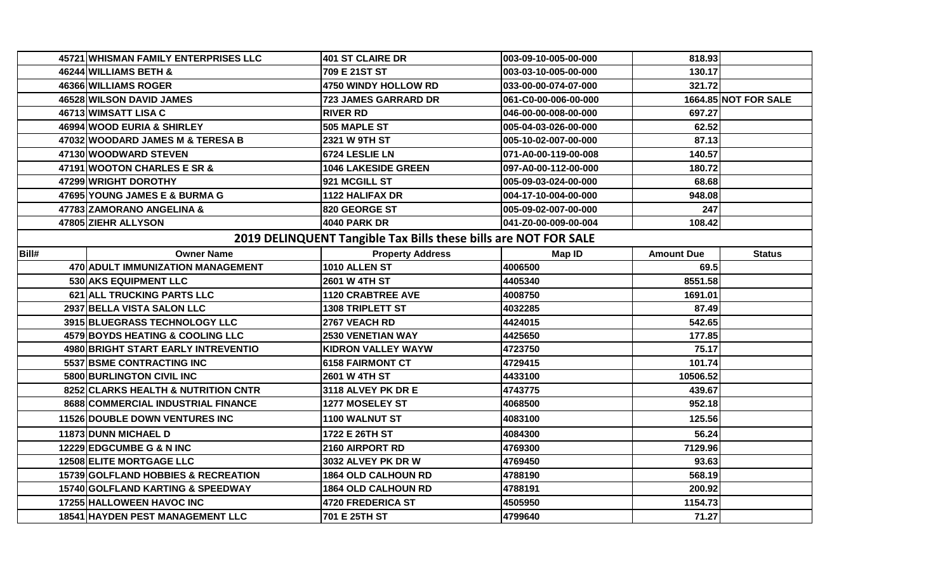| 46244 WILLIAMS BETH &<br>709 E 21ST ST<br>130.17<br>003-03-10-005-00-000<br>321.72<br>46366 WILLIAMS ROGER<br>4750 WINDY HOLLOW RD<br>033-00-00-074-07-000<br><b>1664.85 NOT FOR SALE</b><br>46528 WILSON DAVID JAMES<br>723 JAMES GARRARD DR<br>061-C0-00-006-00-000<br>46713 WIMSATT LISA C<br>697.27<br><b>RIVER RD</b><br>046-00-00-008-00-000<br>46994 WOOD EURIA & SHIRLEY<br>62.52<br>505 MAPLE ST<br>005-04-03-026-00-000<br>47032 WOODARD JAMES M & TERESA B<br>2321 W 9TH ST<br>87.13<br>005-10-02-007-00-000<br>47130 WOODWARD STEVEN<br>6724 LESLIE LN<br>140.57<br>071-A0-00-119-00-008<br>47191 WOOTON CHARLES E SR &<br><b>1046 LAKESIDE GREEN</b><br>180.72<br>097-A0-00-112-00-000<br>47299 WRIGHT DOROTHY<br>921 MCGILL ST<br>005-09-03-024-00-000<br>68.68<br>47695 YOUNG JAMES E & BURMA G<br>1122 HALIFAX DR<br>004-17-10-004-00-000<br>948.08<br>47783 ZAMORANO ANGELINA &<br>820 GEORGE ST<br>005-09-02-007-00-000<br>247<br>47805 ZIEHR ALLYSON<br><b>4040 PARK DR</b><br>108.42<br>041-Z0-00-009-00-004<br>2019 DELINQUENT Tangible Tax Bills these bills are NOT FOR SALE<br><b>Owner Name</b><br><b>Property Address</b><br><b>Amount Due</b><br><b>Map ID</b><br>470 ADULT IMMUNIZATION MANAGEMENT<br>1010 ALLEN ST<br>4006500<br>69.5<br>530 AKS EQUIPMENT LLC<br>2601 W 4TH ST<br>8551.58<br>4405340<br>621 ALL TRUCKING PARTS LLC<br><b>1120 CRABTREE AVE</b><br>4008750<br>1691.01<br>2937 BELLA VISTA SALON LLC<br><b>1308 TRIPLETT ST</b><br>4032285<br>87.49 |               |
|-------------------------------------------------------------------------------------------------------------------------------------------------------------------------------------------------------------------------------------------------------------------------------------------------------------------------------------------------------------------------------------------------------------------------------------------------------------------------------------------------------------------------------------------------------------------------------------------------------------------------------------------------------------------------------------------------------------------------------------------------------------------------------------------------------------------------------------------------------------------------------------------------------------------------------------------------------------------------------------------------------------------------------------------------------------------------------------------------------------------------------------------------------------------------------------------------------------------------------------------------------------------------------------------------------------------------------------------------------------------------------------------------------------------------------------------------------------------------------------------------|---------------|
| Bill#                                                                                                                                                                                                                                                                                                                                                                                                                                                                                                                                                                                                                                                                                                                                                                                                                                                                                                                                                                                                                                                                                                                                                                                                                                                                                                                                                                                                                                                                                           |               |
|                                                                                                                                                                                                                                                                                                                                                                                                                                                                                                                                                                                                                                                                                                                                                                                                                                                                                                                                                                                                                                                                                                                                                                                                                                                                                                                                                                                                                                                                                                 |               |
|                                                                                                                                                                                                                                                                                                                                                                                                                                                                                                                                                                                                                                                                                                                                                                                                                                                                                                                                                                                                                                                                                                                                                                                                                                                                                                                                                                                                                                                                                                 |               |
|                                                                                                                                                                                                                                                                                                                                                                                                                                                                                                                                                                                                                                                                                                                                                                                                                                                                                                                                                                                                                                                                                                                                                                                                                                                                                                                                                                                                                                                                                                 |               |
|                                                                                                                                                                                                                                                                                                                                                                                                                                                                                                                                                                                                                                                                                                                                                                                                                                                                                                                                                                                                                                                                                                                                                                                                                                                                                                                                                                                                                                                                                                 |               |
|                                                                                                                                                                                                                                                                                                                                                                                                                                                                                                                                                                                                                                                                                                                                                                                                                                                                                                                                                                                                                                                                                                                                                                                                                                                                                                                                                                                                                                                                                                 |               |
|                                                                                                                                                                                                                                                                                                                                                                                                                                                                                                                                                                                                                                                                                                                                                                                                                                                                                                                                                                                                                                                                                                                                                                                                                                                                                                                                                                                                                                                                                                 |               |
|                                                                                                                                                                                                                                                                                                                                                                                                                                                                                                                                                                                                                                                                                                                                                                                                                                                                                                                                                                                                                                                                                                                                                                                                                                                                                                                                                                                                                                                                                                 |               |
|                                                                                                                                                                                                                                                                                                                                                                                                                                                                                                                                                                                                                                                                                                                                                                                                                                                                                                                                                                                                                                                                                                                                                                                                                                                                                                                                                                                                                                                                                                 |               |
|                                                                                                                                                                                                                                                                                                                                                                                                                                                                                                                                                                                                                                                                                                                                                                                                                                                                                                                                                                                                                                                                                                                                                                                                                                                                                                                                                                                                                                                                                                 |               |
|                                                                                                                                                                                                                                                                                                                                                                                                                                                                                                                                                                                                                                                                                                                                                                                                                                                                                                                                                                                                                                                                                                                                                                                                                                                                                                                                                                                                                                                                                                 |               |
|                                                                                                                                                                                                                                                                                                                                                                                                                                                                                                                                                                                                                                                                                                                                                                                                                                                                                                                                                                                                                                                                                                                                                                                                                                                                                                                                                                                                                                                                                                 |               |
|                                                                                                                                                                                                                                                                                                                                                                                                                                                                                                                                                                                                                                                                                                                                                                                                                                                                                                                                                                                                                                                                                                                                                                                                                                                                                                                                                                                                                                                                                                 |               |
|                                                                                                                                                                                                                                                                                                                                                                                                                                                                                                                                                                                                                                                                                                                                                                                                                                                                                                                                                                                                                                                                                                                                                                                                                                                                                                                                                                                                                                                                                                 | <b>Status</b> |
|                                                                                                                                                                                                                                                                                                                                                                                                                                                                                                                                                                                                                                                                                                                                                                                                                                                                                                                                                                                                                                                                                                                                                                                                                                                                                                                                                                                                                                                                                                 |               |
|                                                                                                                                                                                                                                                                                                                                                                                                                                                                                                                                                                                                                                                                                                                                                                                                                                                                                                                                                                                                                                                                                                                                                                                                                                                                                                                                                                                                                                                                                                 |               |
|                                                                                                                                                                                                                                                                                                                                                                                                                                                                                                                                                                                                                                                                                                                                                                                                                                                                                                                                                                                                                                                                                                                                                                                                                                                                                                                                                                                                                                                                                                 |               |
|                                                                                                                                                                                                                                                                                                                                                                                                                                                                                                                                                                                                                                                                                                                                                                                                                                                                                                                                                                                                                                                                                                                                                                                                                                                                                                                                                                                                                                                                                                 |               |
| 3915 BLUEGRASS TECHNOLOGY LLC<br>2767 VEACH RD<br>4424015<br>542.65                                                                                                                                                                                                                                                                                                                                                                                                                                                                                                                                                                                                                                                                                                                                                                                                                                                                                                                                                                                                                                                                                                                                                                                                                                                                                                                                                                                                                             |               |
| 4579 BOYDS HEATING & COOLING LLC<br><b>2530 VENETIAN WAY</b><br>4425650<br>177.85                                                                                                                                                                                                                                                                                                                                                                                                                                                                                                                                                                                                                                                                                                                                                                                                                                                                                                                                                                                                                                                                                                                                                                                                                                                                                                                                                                                                               |               |
| 4723750<br>4980 BRIGHT START EARLY INTREVENTIO<br><b>KIDRON VALLEY WAYW</b><br>75.17                                                                                                                                                                                                                                                                                                                                                                                                                                                                                                                                                                                                                                                                                                                                                                                                                                                                                                                                                                                                                                                                                                                                                                                                                                                                                                                                                                                                            |               |
| 5537 BSME CONTRACTING INC<br>4729415<br>6158 FAIRMONT CT<br>101.74                                                                                                                                                                                                                                                                                                                                                                                                                                                                                                                                                                                                                                                                                                                                                                                                                                                                                                                                                                                                                                                                                                                                                                                                                                                                                                                                                                                                                              |               |
| 5800 BURLINGTON CIVIL INC<br>2601 W 4TH ST<br>4433100<br>10506.52                                                                                                                                                                                                                                                                                                                                                                                                                                                                                                                                                                                                                                                                                                                                                                                                                                                                                                                                                                                                                                                                                                                                                                                                                                                                                                                                                                                                                               |               |
| 8252 CLARKS HEALTH & NUTRITION CNTR<br>4743775<br>3118 ALVEY PK DR E<br>439.67                                                                                                                                                                                                                                                                                                                                                                                                                                                                                                                                                                                                                                                                                                                                                                                                                                                                                                                                                                                                                                                                                                                                                                                                                                                                                                                                                                                                                  |               |
| 8688 COMMERCIAL INDUSTRIAL FINANCE<br>1277 MOSELEY ST<br>952.18<br>4068500                                                                                                                                                                                                                                                                                                                                                                                                                                                                                                                                                                                                                                                                                                                                                                                                                                                                                                                                                                                                                                                                                                                                                                                                                                                                                                                                                                                                                      |               |
| 11526 DOUBLE DOWN VENTURES INC<br>4083100<br>1100 WALNUT ST<br>125.56                                                                                                                                                                                                                                                                                                                                                                                                                                                                                                                                                                                                                                                                                                                                                                                                                                                                                                                                                                                                                                                                                                                                                                                                                                                                                                                                                                                                                           |               |
| 11873 DUNN MICHAEL D<br>1722 E 26TH ST<br>4084300<br>56.24                                                                                                                                                                                                                                                                                                                                                                                                                                                                                                                                                                                                                                                                                                                                                                                                                                                                                                                                                                                                                                                                                                                                                                                                                                                                                                                                                                                                                                      |               |
| 12229 EDGCUMBE G & N INC<br>2160 AIRPORT RD<br>4769300<br>7129.96                                                                                                                                                                                                                                                                                                                                                                                                                                                                                                                                                                                                                                                                                                                                                                                                                                                                                                                                                                                                                                                                                                                                                                                                                                                                                                                                                                                                                               |               |
| <b>12508 ELITE MORTGAGE LLC</b><br>3032 ALVEY PK DR W<br>4769450<br>93.63                                                                                                                                                                                                                                                                                                                                                                                                                                                                                                                                                                                                                                                                                                                                                                                                                                                                                                                                                                                                                                                                                                                                                                                                                                                                                                                                                                                                                       |               |
| 15739 GOLFLAND HOBBIES & RECREATION<br>4788190<br>568.19<br><b>1864 OLD CALHOUN RD</b>                                                                                                                                                                                                                                                                                                                                                                                                                                                                                                                                                                                                                                                                                                                                                                                                                                                                                                                                                                                                                                                                                                                                                                                                                                                                                                                                                                                                          |               |
| 15740 GOLFLAND KARTING & SPEEDWAY<br>4788191<br>1864 OLD CALHOUN RD<br>200.92                                                                                                                                                                                                                                                                                                                                                                                                                                                                                                                                                                                                                                                                                                                                                                                                                                                                                                                                                                                                                                                                                                                                                                                                                                                                                                                                                                                                                   |               |
| 17255 HALLOWEEN HAVOC INC<br><b>4720 FREDERICA ST</b><br>4505950<br>1154.73                                                                                                                                                                                                                                                                                                                                                                                                                                                                                                                                                                                                                                                                                                                                                                                                                                                                                                                                                                                                                                                                                                                                                                                                                                                                                                                                                                                                                     |               |
| 18541 HAYDEN PEST MANAGEMENT LLC<br>701 E 25TH ST<br>4799640<br>71.27                                                                                                                                                                                                                                                                                                                                                                                                                                                                                                                                                                                                                                                                                                                                                                                                                                                                                                                                                                                                                                                                                                                                                                                                                                                                                                                                                                                                                           |               |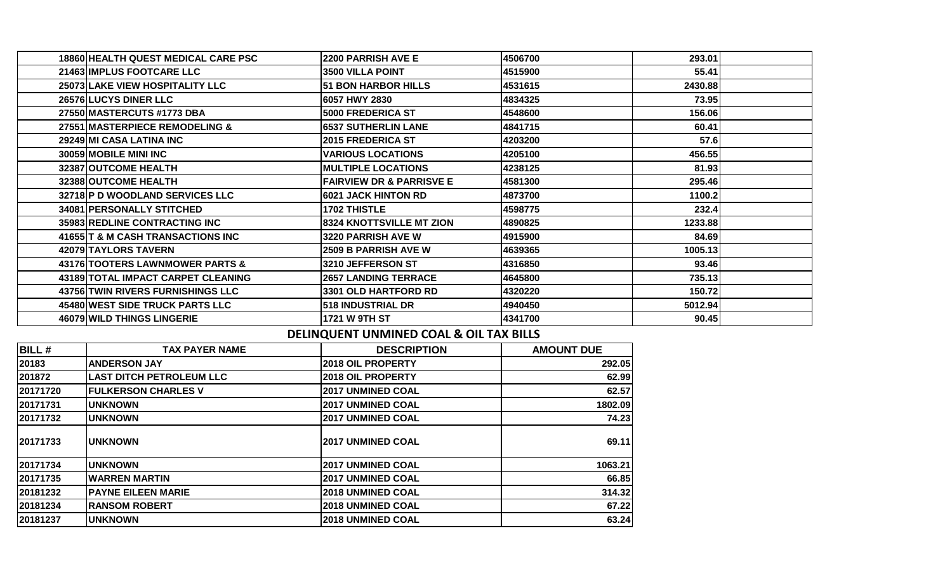| 18860 HEALTH QUEST MEDICAL CARE PSC      | <b>2200 PARRISH AVE E</b>           | 4506700 | 293.01  |  |
|------------------------------------------|-------------------------------------|---------|---------|--|
| <b>21463 IMPLUS FOOTCARE LLC</b>         | <b>3500 VILLA POINT</b>             | 4515900 | 55.41   |  |
| 25073 LAKE VIEW HOSPITALITY LLC          | <b>51 BON HARBOR HILLS</b>          | 4531615 | 2430.88 |  |
| <b>26576 LUCYS DINER LLC</b>             | 6057 HWY 2830                       | 4834325 | 73.95   |  |
| 27550 MASTERCUTS #1773 DBA               | <b>5000 FREDERICA ST</b>            | 4548600 | 156.06  |  |
| 27551 MASTERPIECE REMODELING &           | <b>6537 SUTHERLIN LANE</b>          | 4841715 | 60.41   |  |
| 29249 MI CASA LATINA INC                 | <b>2015 FREDERICA ST</b>            | 4203200 | 57.6    |  |
| 30059 MOBILE MINI INC                    | <b>VARIOUS LOCATIONS</b>            | 4205100 | 456.55  |  |
| 32387 OUTCOME HEALTH                     | <b>MULTIPLE LOCATIONS</b>           | 4238125 | 81.93   |  |
| 32388 OUTCOME HEALTH                     | <b>FAIRVIEW DR &amp; PARRISVE E</b> | 4581300 | 295.46  |  |
| 32718 P D WOODLAND SERVICES LLC          | <b>6021 JACK HINTON RD</b>          | 4873700 | 1100.2  |  |
| 34081 PERSONALLY STITCHED                | <b>1702 THISTLE</b>                 | 4598775 | 232.4   |  |
| 35983 REDLINE CONTRACTING INC            | <b>8324 KNOTTSVILLE MT ZION</b>     | 4890825 | 1233.88 |  |
| 41655 T & M CASH TRANSACTIONS INC        | 3220 PARRISH AVE W                  | 4915900 | 84.69   |  |
| 42079 TAYLORS TAVERN                     | <b>2509 B PARRISH AVE W</b>         | 4639365 | 1005.13 |  |
| 43176 TOOTERS LAWNMOWER PARTS &          | 3210 JEFFERSON ST                   | 4316850 | 93.46   |  |
| 43189 TOTAL IMPACT CARPET CLEANING       | <b>2657 LANDING TERRACE</b>         | 4645800 | 735.13  |  |
| <b>43756 TWIN RIVERS FURNISHINGS LLC</b> | <b>3301 OLD HARTFORD RD</b>         | 4320220 | 150.72  |  |
| 45480 WEST SIDE TRUCK PARTS LLC          | 518 INDUSTRIAL DR                   | 4940450 | 5012.94 |  |
| 46079 WILD THINGS LINGERIE               | 1721 W 9TH ST                       | 4341700 | 90.45   |  |

## **DELINQUENT UNMINED COAL & OIL TAX BILLS**

| <b>BILL#</b> | <b>TAX PAYER NAME</b>           | <b>DESCRIPTION</b>       | <b>AMOUNT DUE</b> |
|--------------|---------------------------------|--------------------------|-------------------|
| 20183        | <b>IANDERSON JAY</b>            | <b>2018 OIL PROPERTY</b> | 292.05            |
| 201872       | <b>LAST DITCH PETROLEUM LLC</b> | <b>2018 OIL PROPERTY</b> | 62.99             |
| 20171720     | <b>FULKERSON CHARLES V</b>      | <b>2017 UNMINED COAL</b> | 62.57             |
| 20171731     | <b>UNKNOWN</b>                  | <b>2017 UNMINED COAL</b> | 1802.09           |
| 20171732     | <b>UNKNOWN</b>                  | <b>2017 UNMINED COAL</b> | 74.23             |
| 20171733     | <b>IUNKNOWN</b>                 | <b>2017 UNMINED COAL</b> | 69.11             |
| 20171734     | <b>UNKNOWN</b>                  | <b>2017 UNMINED COAL</b> | 1063.21           |
| 20171735     | <b>WARREN MARTIN</b>            | <b>2017 UNMINED COAL</b> | 66.85             |
| 20181232     | <b>PAYNE EILEEN MARIE</b>       | <b>2018 UNMINED COAL</b> | 314.32            |
| 20181234     | <b>RANSOM ROBERT</b>            | <b>2018 UNMINED COAL</b> | 67.22             |
| 20181237     | <b>UNKNOWN</b>                  | <b>2018 UNMINED COAL</b> | 63.24             |